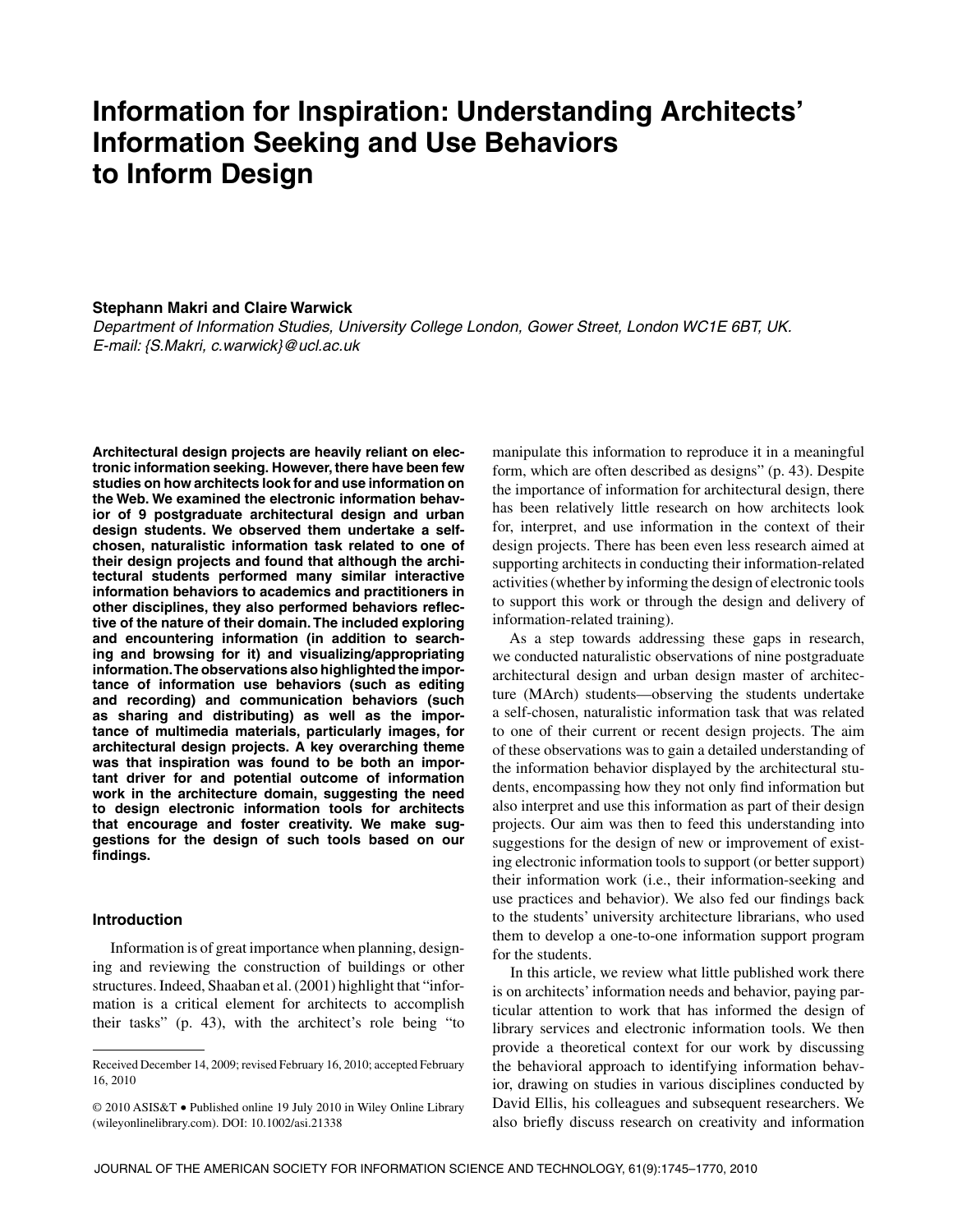# **Information for Inspiration: Understanding Architects' Information Seeking and Use Behaviors to Inform Design**

## **Stephann Makri and Claire Warwick**

Department of Information Studies, University College London, Gower Street, London WC1E 6BT, UK. E-mail: {S.Makri, c.warwick}@ucl.ac.uk

**Architectural design projects are heavily reliant on electronic information seeking. However, there have been few studies on how architects look for and use information on the Web. We examined the electronic information behavior of 9 postgraduate architectural design and urban design students. We observed them undertake a selfchosen, naturalistic information task related to one of their design projects and found that although the architectural students performed many similar interactive information behaviors to academics and practitioners in other disciplines, they also performed behaviors reflective of the nature of their domain. The included exploring and encountering information (in addition to searching and browsing for it) and visualizing/appropriating information.The observations also highlighted the importance of information use behaviors (such as editing and recording) and communication behaviors (such as sharing and distributing) as well as the importance of multimedia materials, particularly images, for architectural design projects. A key overarching theme was that inspiration was found to be both an important driver for and potential outcome of information work in the architecture domain, suggesting the need to design electronic information tools for architects that encourage and foster creativity. We make suggestions for the design of such tools based on our findings.**

#### **Introduction**

Information is of great importance when planning, designing and reviewing the construction of buildings or other structures. Indeed, Shaaban et al. (2001) highlight that "information is a critical element for architects to accomplish their tasks" (p. 43), with the architect's role being "to manipulate this information to reproduce it in a meaningful form, which are often described as designs" (p. 43). Despite the importance of information for architectural design, there has been relatively little research on how architects look for, interpret, and use information in the context of their design projects. There has been even less research aimed at supporting architects in conducting their information-related activities (whether by informing the design of electronic tools to support this work or through the design and delivery of information-related training).

As a step towards addressing these gaps in research, we conducted naturalistic observations of nine postgraduate architectural design and urban design master of architecture (MArch) students—observing the students undertake a self-chosen, naturalistic information task that was related to one of their current or recent design projects. The aim of these observations was to gain a detailed understanding of the information behavior displayed by the architectural students, encompassing how they not only find information but also interpret and use this information as part of their design projects. Our aim was then to feed this understanding into suggestions for the design of new or improvement of existing electronic information tools to support (or better support) their information work (i.e., their information-seeking and use practices and behavior). We also fed our findings back to the students' university architecture librarians, who used them to develop a one-to-one information support program for the students.

In this article, we review what little published work there is on architects' information needs and behavior, paying particular attention to work that has informed the design of library services and electronic information tools. We then provide a theoretical context for our work by discussing the behavioral approach to identifying information behavior, drawing on studies in various disciplines conducted by David Ellis, his colleagues and subsequent researchers. We also briefly discuss research on creativity and information

Received December 14, 2009; revised February 16, 2010; accepted February 16, 2010

<sup>© 2010</sup> ASIS&T • Published online 19 July 2010 in Wiley Online Library (wileyonlinelibrary.com). DOI: 10.1002/asi.21338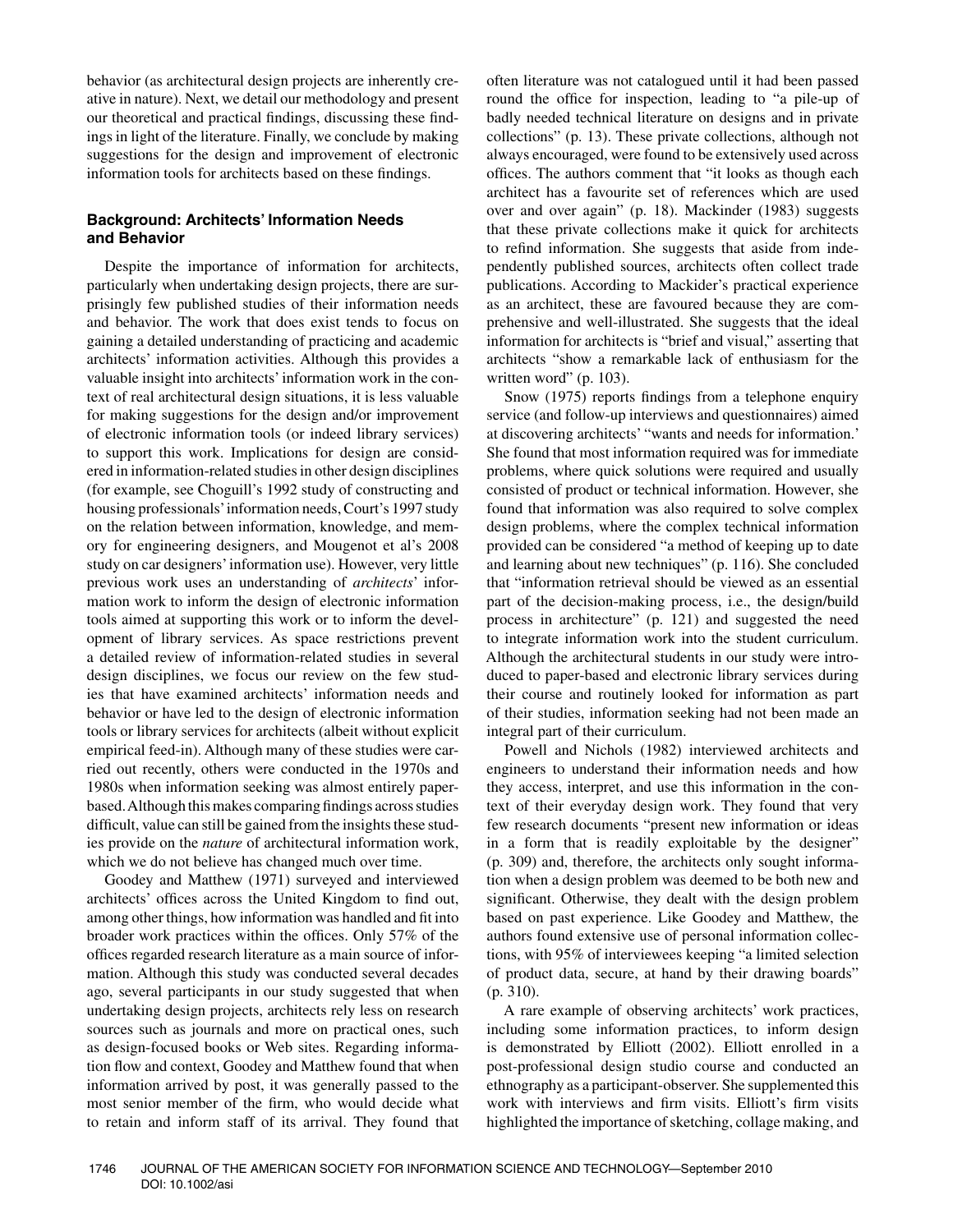behavior (as architectural design projects are inherently creative in nature). Next, we detail our methodology and present our theoretical and practical findings, discussing these findings in light of the literature. Finally, we conclude by making suggestions for the design and improvement of electronic information tools for architects based on these findings.

# **Background: Architects' Information Needs and Behavior**

Despite the importance of information for architects, particularly when undertaking design projects, there are surprisingly few published studies of their information needs and behavior. The work that does exist tends to focus on gaining a detailed understanding of practicing and academic architects' information activities. Although this provides a valuable insight into architects' information work in the context of real architectural design situations, it is less valuable for making suggestions for the design and/or improvement of electronic information tools (or indeed library services) to support this work. Implications for design are considered in information-related studies in other design disciplines (for example, see Choguill's 1992 study of constructing and housing professionals'information needs, Court's 1997 study on the relation between information, knowledge, and memory for engineering designers, and Mougenot et al's 2008 study on car designers'information use). However, very little previous work uses an understanding of *architects*' information work to inform the design of electronic information tools aimed at supporting this work or to inform the development of library services. As space restrictions prevent a detailed review of information-related studies in several design disciplines, we focus our review on the few studies that have examined architects' information needs and behavior or have led to the design of electronic information tools or library services for architects (albeit without explicit empirical feed-in). Although many of these studies were carried out recently, others were conducted in the 1970s and 1980s when information seeking was almost entirely paperbased.Although this makes comparing findings across studies difficult, value can still be gained from the insights these studies provide on the *nature* of architectural information work, which we do not believe has changed much over time.

Goodey and Matthew (1971) surveyed and interviewed architects' offices across the United Kingdom to find out, among other things, how information was handled and fit into broader work practices within the offices. Only 57% of the offices regarded research literature as a main source of information. Although this study was conducted several decades ago, several participants in our study suggested that when undertaking design projects, architects rely less on research sources such as journals and more on practical ones, such as design-focused books or Web sites. Regarding information flow and context, Goodey and Matthew found that when information arrived by post, it was generally passed to the most senior member of the firm, who would decide what to retain and inform staff of its arrival. They found that often literature was not catalogued until it had been passed round the office for inspection, leading to "a pile-up of badly needed technical literature on designs and in private collections" (p. 13). These private collections, although not always encouraged, were found to be extensively used across offices. The authors comment that "it looks as though each architect has a favourite set of references which are used over and over again" (p. 18). Mackinder (1983) suggests that these private collections make it quick for architects to refind information. She suggests that aside from independently published sources, architects often collect trade publications. According to Mackider's practical experience as an architect, these are favoured because they are comprehensive and well-illustrated. She suggests that the ideal information for architects is "brief and visual," asserting that architects "show a remarkable lack of enthusiasm for the written word" (p. 103).

Snow (1975) reports findings from a telephone enquiry service (and follow-up interviews and questionnaires) aimed at discovering architects' "wants and needs for information.' She found that most information required was for immediate problems, where quick solutions were required and usually consisted of product or technical information. However, she found that information was also required to solve complex design problems, where the complex technical information provided can be considered "a method of keeping up to date and learning about new techniques" (p. 116). She concluded that "information retrieval should be viewed as an essential part of the decision-making process, i.e., the design/build process in architecture" (p. 121) and suggested the need to integrate information work into the student curriculum. Although the architectural students in our study were introduced to paper-based and electronic library services during their course and routinely looked for information as part of their studies, information seeking had not been made an integral part of their curriculum.

Powell and Nichols (1982) interviewed architects and engineers to understand their information needs and how they access, interpret, and use this information in the context of their everyday design work. They found that very few research documents "present new information or ideas in a form that is readily exploitable by the designer" (p. 309) and, therefore, the architects only sought information when a design problem was deemed to be both new and significant. Otherwise, they dealt with the design problem based on past experience. Like Goodey and Matthew, the authors found extensive use of personal information collections, with 95% of interviewees keeping "a limited selection of product data, secure, at hand by their drawing boards" (p. 310).

A rare example of observing architects' work practices, including some information practices, to inform design is demonstrated by Elliott (2002). Elliott enrolled in a post-professional design studio course and conducted an ethnography as a participant-observer. She supplemented this work with interviews and firm visits. Elliott's firm visits highlighted the importance of sketching, collage making, and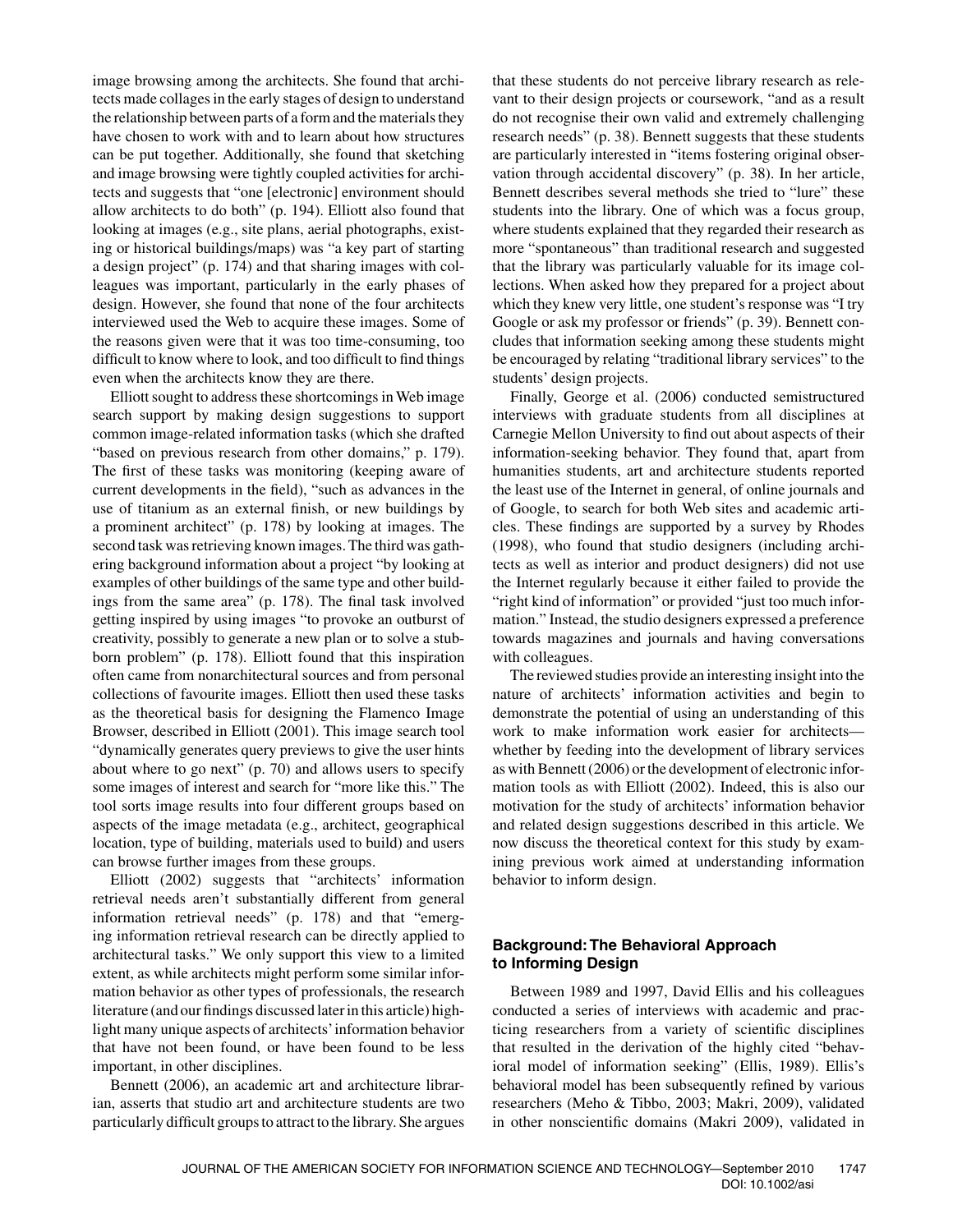image browsing among the architects. She found that architects made collages in the early stages of design to understand the relationship between parts of a form and the materials they have chosen to work with and to learn about how structures can be put together. Additionally, she found that sketching and image browsing were tightly coupled activities for architects and suggests that "one [electronic] environment should allow architects to do both" (p. 194). Elliott also found that looking at images (e.g., site plans, aerial photographs, existing or historical buildings/maps) was "a key part of starting a design project" (p. 174) and that sharing images with colleagues was important, particularly in the early phases of design. However, she found that none of the four architects interviewed used the Web to acquire these images. Some of the reasons given were that it was too time-consuming, too difficult to know where to look, and too difficult to find things even when the architects know they are there.

Elliott sought to address these shortcomings inWeb image search support by making design suggestions to support common image-related information tasks (which she drafted "based on previous research from other domains," p. 179). The first of these tasks was monitoring (keeping aware of current developments in the field), "such as advances in the use of titanium as an external finish, or new buildings by a prominent architect" (p. 178) by looking at images. The second task was retrieving known images. The third was gathering background information about a project "by looking at examples of other buildings of the same type and other buildings from the same area" (p. 178). The final task involved getting inspired by using images "to provoke an outburst of creativity, possibly to generate a new plan or to solve a stubborn problem" (p. 178). Elliott found that this inspiration often came from nonarchitectural sources and from personal collections of favourite images. Elliott then used these tasks as the theoretical basis for designing the Flamenco Image Browser, described in Elliott (2001). This image search tool "dynamically generates query previews to give the user hints about where to go next" (p. 70) and allows users to specify some images of interest and search for "more like this." The tool sorts image results into four different groups based on aspects of the image metadata (e.g., architect, geographical location, type of building, materials used to build) and users can browse further images from these groups.

Elliott (2002) suggests that "architects' information retrieval needs aren't substantially different from general information retrieval needs" (p. 178) and that "emerging information retrieval research can be directly applied to architectural tasks." We only support this view to a limited extent, as while architects might perform some similar information behavior as other types of professionals, the research literature (and our findings discussed later in this article) highlight many unique aspects of architects'information behavior that have not been found, or have been found to be less important, in other disciplines.

Bennett (2006), an academic art and architecture librarian, asserts that studio art and architecture students are two particularly difficult groups to attract to the library. She argues that these students do not perceive library research as relevant to their design projects or coursework, "and as a result do not recognise their own valid and extremely challenging research needs" (p. 38). Bennett suggests that these students are particularly interested in "items fostering original observation through accidental discovery" (p. 38). In her article, Bennett describes several methods she tried to "lure" these students into the library. One of which was a focus group, where students explained that they regarded their research as more "spontaneous" than traditional research and suggested that the library was particularly valuable for its image collections. When asked how they prepared for a project about which they knew very little, one student's response was "I try Google or ask my professor or friends" (p. 39). Bennett concludes that information seeking among these students might be encouraged by relating "traditional library services" to the students' design projects.

Finally, George et al. (2006) conducted semistructured interviews with graduate students from all disciplines at Carnegie Mellon University to find out about aspects of their information-seeking behavior. They found that, apart from humanities students, art and architecture students reported the least use of the Internet in general, of online journals and of Google, to search for both Web sites and academic articles. These findings are supported by a survey by Rhodes (1998), who found that studio designers (including architects as well as interior and product designers) did not use the Internet regularly because it either failed to provide the "right kind of information" or provided "just too much information." Instead, the studio designers expressed a preference towards magazines and journals and having conversations with colleagues.

The reviewed studies provide an interesting insight into the nature of architects' information activities and begin to demonstrate the potential of using an understanding of this work to make information work easier for architects whether by feeding into the development of library services as with Bennett (2006) or the development of electronic information tools as with Elliott (2002). Indeed, this is also our motivation for the study of architects' information behavior and related design suggestions described in this article. We now discuss the theoretical context for this study by examining previous work aimed at understanding information behavior to inform design.

# **Background: The Behavioral Approach to Informing Design**

Between 1989 and 1997, David Ellis and his colleagues conducted a series of interviews with academic and practicing researchers from a variety of scientific disciplines that resulted in the derivation of the highly cited "behavioral model of information seeking" (Ellis, 1989). Ellis's behavioral model has been subsequently refined by various researchers (Meho & Tibbo, 2003; Makri, 2009), validated in other nonscientific domains (Makri 2009), validated in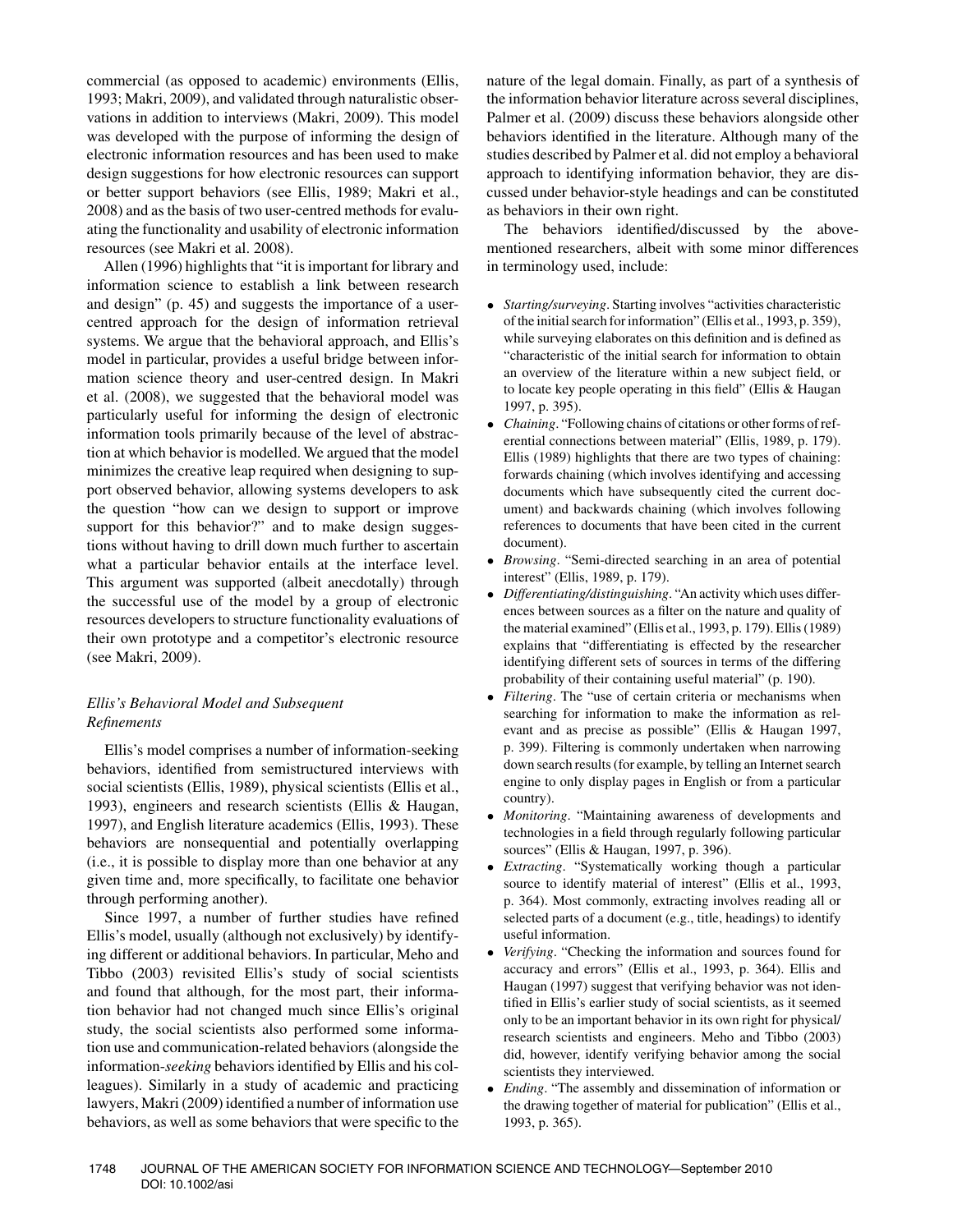commercial (as opposed to academic) environments (Ellis, 1993; Makri, 2009), and validated through naturalistic observations in addition to interviews (Makri, 2009). This model was developed with the purpose of informing the design of electronic information resources and has been used to make design suggestions for how electronic resources can support or better support behaviors (see Ellis, 1989; Makri et al., 2008) and as the basis of two user-centred methods for evaluating the functionality and usability of electronic information resources (see Makri et al. 2008).

Allen (1996) highlights that "it is important for library and information science to establish a link between research and design" (p. 45) and suggests the importance of a usercentred approach for the design of information retrieval systems. We argue that the behavioral approach, and Ellis's model in particular, provides a useful bridge between information science theory and user-centred design. In Makri et al. (2008), we suggested that the behavioral model was particularly useful for informing the design of electronic information tools primarily because of the level of abstraction at which behavior is modelled. We argued that the model minimizes the creative leap required when designing to support observed behavior, allowing systems developers to ask the question "how can we design to support or improve support for this behavior?" and to make design suggestions without having to drill down much further to ascertain what a particular behavior entails at the interface level. This argument was supported (albeit anecdotally) through the successful use of the model by a group of electronic resources developers to structure functionality evaluations of their own prototype and a competitor's electronic resource (see Makri, 2009).

# *Ellis's Behavioral Model and Subsequent Refinements*

Ellis's model comprises a number of information-seeking behaviors, identified from semistructured interviews with social scientists (Ellis, 1989), physical scientists (Ellis et al., 1993), engineers and research scientists (Ellis & Haugan, 1997), and English literature academics (Ellis, 1993). These behaviors are nonsequential and potentially overlapping (i.e., it is possible to display more than one behavior at any given time and, more specifically, to facilitate one behavior through performing another).

Since 1997, a number of further studies have refined Ellis's model, usually (although not exclusively) by identifying different or additional behaviors. In particular, Meho and Tibbo (2003) revisited Ellis's study of social scientists and found that although, for the most part, their information behavior had not changed much since Ellis's original study, the social scientists also performed some information use and communication-related behaviors (alongside the information-*seeking* behaviors identified by Ellis and his colleagues). Similarly in a study of academic and practicing lawyers, Makri (2009) identified a number of information use behaviors, as well as some behaviors that were specific to the nature of the legal domain. Finally, as part of a synthesis of the information behavior literature across several disciplines, Palmer et al. (2009) discuss these behaviors alongside other behaviors identified in the literature. Although many of the studies described by Palmer et al. did not employ a behavioral approach to identifying information behavior, they are discussed under behavior-style headings and can be constituted as behaviors in their own right.

The behaviors identified/discussed by the abovementioned researchers, albeit with some minor differences in terminology used, include:

- *Starting/surveying*. Starting involves "activities characteristic of the initial search for information" (Ellis et al., 1993, p. 359), while surveying elaborates on this definition and is defined as "characteristic of the initial search for information to obtain an overview of the literature within a new subject field, or to locate key people operating in this field" (Ellis & Haugan 1997, p. 395).
- *Chaining*. "Following chains of citations or other forms of referential connections between material" (Ellis, 1989, p. 179). Ellis (1989) highlights that there are two types of chaining: forwards chaining (which involves identifying and accessing documents which have subsequently cited the current document) and backwards chaining (which involves following references to documents that have been cited in the current document).
- *Browsing*. "Semi-directed searching in an area of potential interest" (Ellis, 1989, p. 179).
- *Differentiating/distinguishing*. "An activity which uses differences between sources as a filter on the nature and quality of the material examined" (Ellis et al., 1993, p. 179). Ellis (1989) explains that "differentiating is effected by the researcher identifying different sets of sources in terms of the differing probability of their containing useful material" (p. 190).
- *Filtering*. The "use of certain criteria or mechanisms when searching for information to make the information as relevant and as precise as possible" (Ellis & Haugan 1997, p. 399). Filtering is commonly undertaken when narrowing down search results (for example, by telling an Internet search engine to only display pages in English or from a particular country).
- *Monitoring*. "Maintaining awareness of developments and technologies in a field through regularly following particular sources" (Ellis & Haugan, 1997, p. 396).
- *Extracting*. "Systematically working though a particular source to identify material of interest" (Ellis et al., 1993, p. 364). Most commonly, extracting involves reading all or selected parts of a document (e.g., title, headings) to identify useful information.
- *Verifying*. "Checking the information and sources found for accuracy and errors" (Ellis et al., 1993, p. 364). Ellis and Haugan (1997) suggest that verifying behavior was not identified in Ellis's earlier study of social scientists, as it seemed only to be an important behavior in its own right for physical/ research scientists and engineers. Meho and Tibbo (2003) did, however, identify verifying behavior among the social scientists they interviewed.
- *Ending*. "The assembly and dissemination of information or the drawing together of material for publication" (Ellis et al., 1993, p. 365).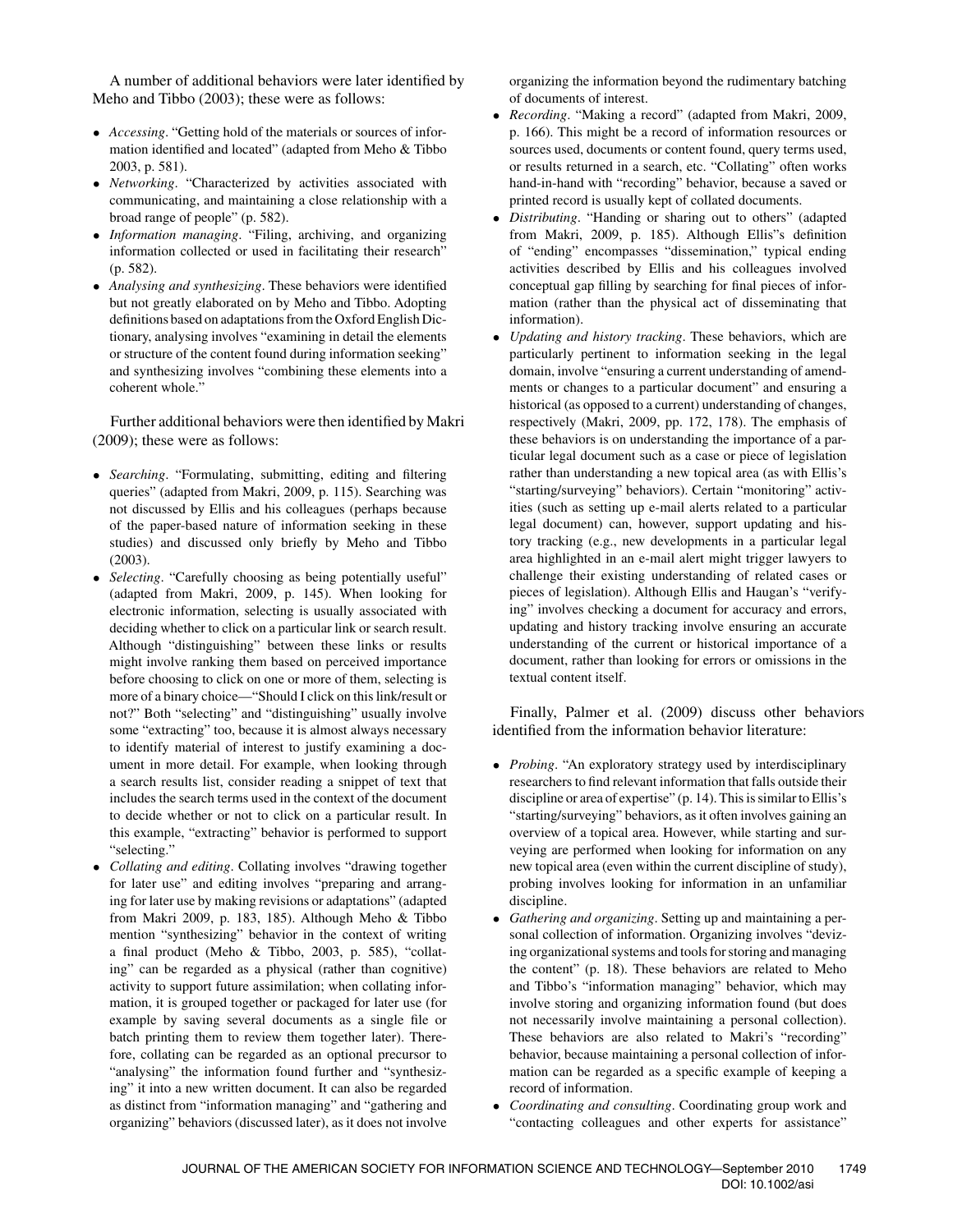A number of additional behaviors were later identified by Meho and Tibbo (2003); these were as follows:

- *Accessing*. "Getting hold of the materials or sources of information identified and located" (adapted from Meho & Tibbo 2003, p. 581).
- *Networking*. "Characterized by activities associated with communicating, and maintaining a close relationship with a broad range of people" (p. 582).
- *Information managing*. "Filing, archiving, and organizing information collected or used in facilitating their research" (p. 582).
- *Analysing and synthesizing*. These behaviors were identified but not greatly elaborated on by Meho and Tibbo. Adopting definitions based on adaptations from the Oxford English Dictionary, analysing involves "examining in detail the elements or structure of the content found during information seeking" and synthesizing involves "combining these elements into a coherent whole."

Further additional behaviors were then identified by Makri (2009); these were as follows:

- *Searching*. "Formulating, submitting, editing and filtering queries" (adapted from Makri, 2009, p. 115). Searching was not discussed by Ellis and his colleagues (perhaps because of the paper-based nature of information seeking in these studies) and discussed only briefly by Meho and Tibbo (2003).
- *Selecting*. "Carefully choosing as being potentially useful" (adapted from Makri, 2009, p. 145). When looking for electronic information, selecting is usually associated with deciding whether to click on a particular link or search result. Although "distinguishing" between these links or results might involve ranking them based on perceived importance before choosing to click on one or more of them, selecting is more of a binary choice—"Should I click on this link/result or not?" Both "selecting" and "distinguishing" usually involve some "extracting" too, because it is almost always necessary to identify material of interest to justify examining a document in more detail. For example, when looking through a search results list, consider reading a snippet of text that includes the search terms used in the context of the document to decide whether or not to click on a particular result. In this example, "extracting" behavior is performed to support "selecting."
- *Collating and editing*. Collating involves "drawing together for later use" and editing involves "preparing and arranging for later use by making revisions or adaptations" (adapted from Makri 2009, p. 183, 185). Although Meho & Tibbo mention "synthesizing" behavior in the context of writing a final product (Meho & Tibbo, 2003, p. 585), "collating" can be regarded as a physical (rather than cognitive) activity to support future assimilation; when collating information, it is grouped together or packaged for later use (for example by saving several documents as a single file or batch printing them to review them together later). Therefore, collating can be regarded as an optional precursor to "analysing" the information found further and "synthesizing" it into a new written document. It can also be regarded as distinct from "information managing" and "gathering and organizing" behaviors (discussed later), as it does not involve

organizing the information beyond the rudimentary batching of documents of interest.

- *Recording*. "Making a record" (adapted from Makri, 2009, p. 166). This might be a record of information resources or sources used, documents or content found, query terms used, or results returned in a search, etc. "Collating" often works hand-in-hand with "recording" behavior, because a saved or printed record is usually kept of collated documents.
- *Distributing*. "Handing or sharing out to others" (adapted from Makri, 2009, p. 185). Although Ellis"s definition of "ending" encompasses "dissemination," typical ending activities described by Ellis and his colleagues involved conceptual gap filling by searching for final pieces of information (rather than the physical act of disseminating that information).
- *Updating and history tracking*. These behaviors, which are particularly pertinent to information seeking in the legal domain, involve "ensuring a current understanding of amendments or changes to a particular document" and ensuring a historical (as opposed to a current) understanding of changes, respectively (Makri, 2009, pp. 172, 178). The emphasis of these behaviors is on understanding the importance of a particular legal document such as a case or piece of legislation rather than understanding a new topical area (as with Ellis's "starting/surveying" behaviors). Certain "monitoring" activities (such as setting up e-mail alerts related to a particular legal document) can, however, support updating and history tracking (e.g., new developments in a particular legal area highlighted in an e-mail alert might trigger lawyers to challenge their existing understanding of related cases or pieces of legislation). Although Ellis and Haugan's "verifying" involves checking a document for accuracy and errors, updating and history tracking involve ensuring an accurate understanding of the current or historical importance of a document, rather than looking for errors or omissions in the textual content itself.

Finally, Palmer et al. (2009) discuss other behaviors identified from the information behavior literature:

- *Probing*. "An exploratory strategy used by interdisciplinary researchers to find relevant information that falls outside their discipline or area of expertise" (p. 14). This is similar to Ellis's "starting/surveying" behaviors, as it often involves gaining an overview of a topical area. However, while starting and surveying are performed when looking for information on any new topical area (even within the current discipline of study), probing involves looking for information in an unfamiliar discipline.
- *Gathering and organizing*. Setting up and maintaining a personal collection of information. Organizing involves "devizing organizational systems and tools for storing and managing the content" (p. 18). These behaviors are related to Meho and Tibbo's "information managing" behavior, which may involve storing and organizing information found (but does not necessarily involve maintaining a personal collection). These behaviors are also related to Makri's "recording" behavior, because maintaining a personal collection of information can be regarded as a specific example of keeping a record of information.
- *Coordinating and consulting*. Coordinating group work and "contacting colleagues and other experts for assistance"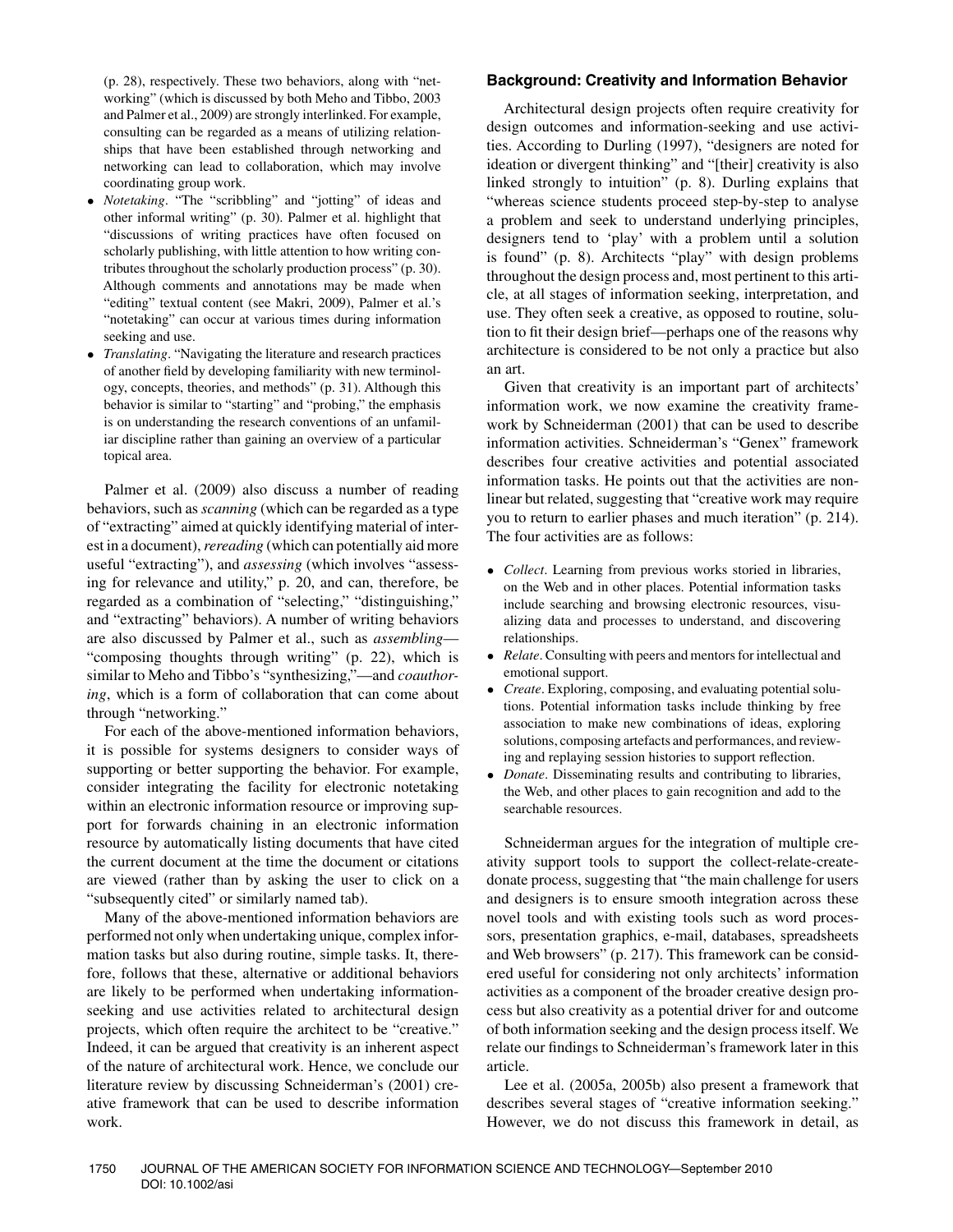(p. 28), respectively. These two behaviors, along with "networking" (which is discussed by both Meho and Tibbo, 2003 and Palmer et al., 2009) are strongly interlinked. For example, consulting can be regarded as a means of utilizing relationships that have been established through networking and networking can lead to collaboration, which may involve coordinating group work.

- *Notetaking*. "The "scribbling" and "jotting" of ideas and other informal writing" (p. 30). Palmer et al. highlight that "discussions of writing practices have often focused on scholarly publishing, with little attention to how writing contributes throughout the scholarly production process" (p. 30). Although comments and annotations may be made when "editing" textual content (see Makri, 2009), Palmer et al.'s "notetaking" can occur at various times during information seeking and use.
- *Translating*. "Navigating the literature and research practices of another field by developing familiarity with new terminology, concepts, theories, and methods" (p. 31). Although this behavior is similar to "starting" and "probing," the emphasis is on understanding the research conventions of an unfamiliar discipline rather than gaining an overview of a particular topical area.

Palmer et al. (2009) also discuss a number of reading behaviors, such as *scanning* (which can be regarded as a type of "extracting" aimed at quickly identifying material of interest in a document),*rereading* (which can potentially aid more useful "extracting"), and *assessing* (which involves "assessing for relevance and utility," p. 20, and can, therefore, be regarded as a combination of "selecting," "distinguishing," and "extracting" behaviors). A number of writing behaviors are also discussed by Palmer et al., such as *assembling*— "composing thoughts through writing" (p. 22), which is similar to Meho and Tibbo's "synthesizing,"—and *coauthoring*, which is a form of collaboration that can come about through "networking."

For each of the above-mentioned information behaviors, it is possible for systems designers to consider ways of supporting or better supporting the behavior. For example, consider integrating the facility for electronic notetaking within an electronic information resource or improving support for forwards chaining in an electronic information resource by automatically listing documents that have cited the current document at the time the document or citations are viewed (rather than by asking the user to click on a "subsequently cited" or similarly named tab).

Many of the above-mentioned information behaviors are performed not only when undertaking unique, complex information tasks but also during routine, simple tasks. It, therefore, follows that these, alternative or additional behaviors are likely to be performed when undertaking informationseeking and use activities related to architectural design projects, which often require the architect to be "creative." Indeed, it can be argued that creativity is an inherent aspect of the nature of architectural work. Hence, we conclude our literature review by discussing Schneiderman's (2001) creative framework that can be used to describe information work.

#### **Background: Creativity and Information Behavior**

Architectural design projects often require creativity for design outcomes and information-seeking and use activities. According to Durling (1997), "designers are noted for ideation or divergent thinking" and "[their] creativity is also linked strongly to intuition" (p. 8). Durling explains that "whereas science students proceed step-by-step to analyse a problem and seek to understand underlying principles, designers tend to 'play' with a problem until a solution is found" (p. 8). Architects "play" with design problems throughout the design process and, most pertinent to this article, at all stages of information seeking, interpretation, and use. They often seek a creative, as opposed to routine, solution to fit their design brief—perhaps one of the reasons why architecture is considered to be not only a practice but also an art.

Given that creativity is an important part of architects' information work, we now examine the creativity framework by Schneiderman (2001) that can be used to describe information activities. Schneiderman's "Genex" framework describes four creative activities and potential associated information tasks. He points out that the activities are nonlinear but related, suggesting that "creative work may require you to return to earlier phases and much iteration" (p. 214). The four activities are as follows:

- *Collect*. Learning from previous works storied in libraries, on the Web and in other places. Potential information tasks include searching and browsing electronic resources, visualizing data and processes to understand, and discovering relationships.
- *Relate*. Consulting with peers and mentors for intellectual and emotional support.
- *Create*. Exploring, composing, and evaluating potential solutions. Potential information tasks include thinking by free association to make new combinations of ideas, exploring solutions, composing artefacts and performances, and reviewing and replaying session histories to support reflection.
- *Donate*. Disseminating results and contributing to libraries, the Web, and other places to gain recognition and add to the searchable resources.

Schneiderman argues for the integration of multiple creativity support tools to support the collect-relate-createdonate process, suggesting that "the main challenge for users and designers is to ensure smooth integration across these novel tools and with existing tools such as word processors, presentation graphics, e-mail, databases, spreadsheets and Web browsers" (p. 217). This framework can be considered useful for considering not only architects' information activities as a component of the broader creative design process but also creativity as a potential driver for and outcome of both information seeking and the design process itself. We relate our findings to Schneiderman's framework later in this article.

Lee et al. (2005a, 2005b) also present a framework that describes several stages of "creative information seeking." However, we do not discuss this framework in detail, as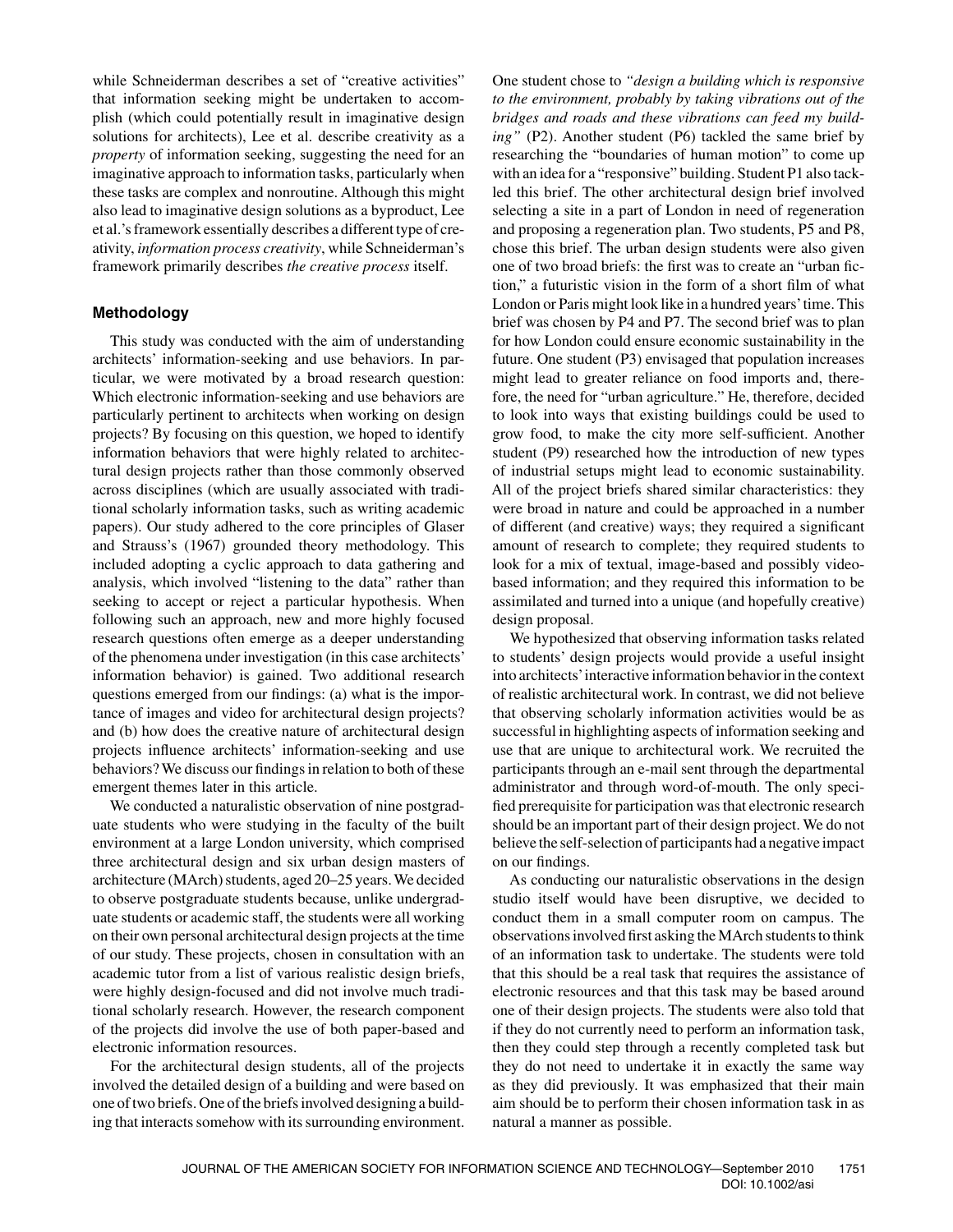while Schneiderman describes a set of "creative activities" that information seeking might be undertaken to accomplish (which could potentially result in imaginative design solutions for architects), Lee et al. describe creativity as a *property* of information seeking, suggesting the need for an imaginative approach to information tasks, particularly when these tasks are complex and nonroutine. Although this might also lead to imaginative design solutions as a byproduct, Lee et al.'s framework essentially describes a different type of creativity, *information process creativity*, while Schneiderman's framework primarily describes *the creative process* itself.

## **Methodology**

This study was conducted with the aim of understanding architects' information-seeking and use behaviors. In particular, we were motivated by a broad research question: Which electronic information-seeking and use behaviors are particularly pertinent to architects when working on design projects? By focusing on this question, we hoped to identify information behaviors that were highly related to architectural design projects rather than those commonly observed across disciplines (which are usually associated with traditional scholarly information tasks, such as writing academic papers). Our study adhered to the core principles of Glaser and Strauss's (1967) grounded theory methodology. This included adopting a cyclic approach to data gathering and analysis, which involved "listening to the data" rather than seeking to accept or reject a particular hypothesis. When following such an approach, new and more highly focused research questions often emerge as a deeper understanding of the phenomena under investigation (in this case architects' information behavior) is gained. Two additional research questions emerged from our findings: (a) what is the importance of images and video for architectural design projects? and (b) how does the creative nature of architectural design projects influence architects' information-seeking and use behaviors?We discuss our findings in relation to both of these emergent themes later in this article.

We conducted a naturalistic observation of nine postgraduate students who were studying in the faculty of the built environment at a large London university, which comprised three architectural design and six urban design masters of architecture (MArch) students, aged 20–25 years.We decided to observe postgraduate students because, unlike undergraduate students or academic staff, the students were all working on their own personal architectural design projects at the time of our study. These projects, chosen in consultation with an academic tutor from a list of various realistic design briefs, were highly design-focused and did not involve much traditional scholarly research. However, the research component of the projects did involve the use of both paper-based and electronic information resources.

For the architectural design students, all of the projects involved the detailed design of a building and were based on one of two briefs. One of the briefs involved designing a building that interacts somehow with its surrounding environment. One student chose to *"design a building which is responsive to the environment, probably by taking vibrations out of the bridges and roads and these vibrations can feed my building"* (P2). Another student (P6) tackled the same brief by researching the "boundaries of human motion" to come up with an idea for a "responsive" building. Student P1 also tackled this brief. The other architectural design brief involved selecting a site in a part of London in need of regeneration and proposing a regeneration plan. Two students, P5 and P8, chose this brief. The urban design students were also given one of two broad briefs: the first was to create an "urban fiction," a futuristic vision in the form of a short film of what London or Paris might look like in a hundred years'time. This brief was chosen by P4 and P7. The second brief was to plan for how London could ensure economic sustainability in the future. One student (P3) envisaged that population increases might lead to greater reliance on food imports and, therefore, the need for "urban agriculture." He, therefore, decided to look into ways that existing buildings could be used to grow food, to make the city more self-sufficient. Another student (P9) researched how the introduction of new types of industrial setups might lead to economic sustainability. All of the project briefs shared similar characteristics: they were broad in nature and could be approached in a number of different (and creative) ways; they required a significant amount of research to complete; they required students to look for a mix of textual, image-based and possibly videobased information; and they required this information to be assimilated and turned into a unique (and hopefully creative) design proposal.

We hypothesized that observing information tasks related to students' design projects would provide a useful insight into architects'interactive information behavior in the context of realistic architectural work. In contrast, we did not believe that observing scholarly information activities would be as successful in highlighting aspects of information seeking and use that are unique to architectural work. We recruited the participants through an e-mail sent through the departmental administrator and through word-of-mouth. The only specified prerequisite for participation was that electronic research should be an important part of their design project. We do not believe the self-selection of participants had a negative impact on our findings.

As conducting our naturalistic observations in the design studio itself would have been disruptive, we decided to conduct them in a small computer room on campus. The observations involved first asking theMArch students to think of an information task to undertake. The students were told that this should be a real task that requires the assistance of electronic resources and that this task may be based around one of their design projects. The students were also told that if they do not currently need to perform an information task, then they could step through a recently completed task but they do not need to undertake it in exactly the same way as they did previously. It was emphasized that their main aim should be to perform their chosen information task in as natural a manner as possible.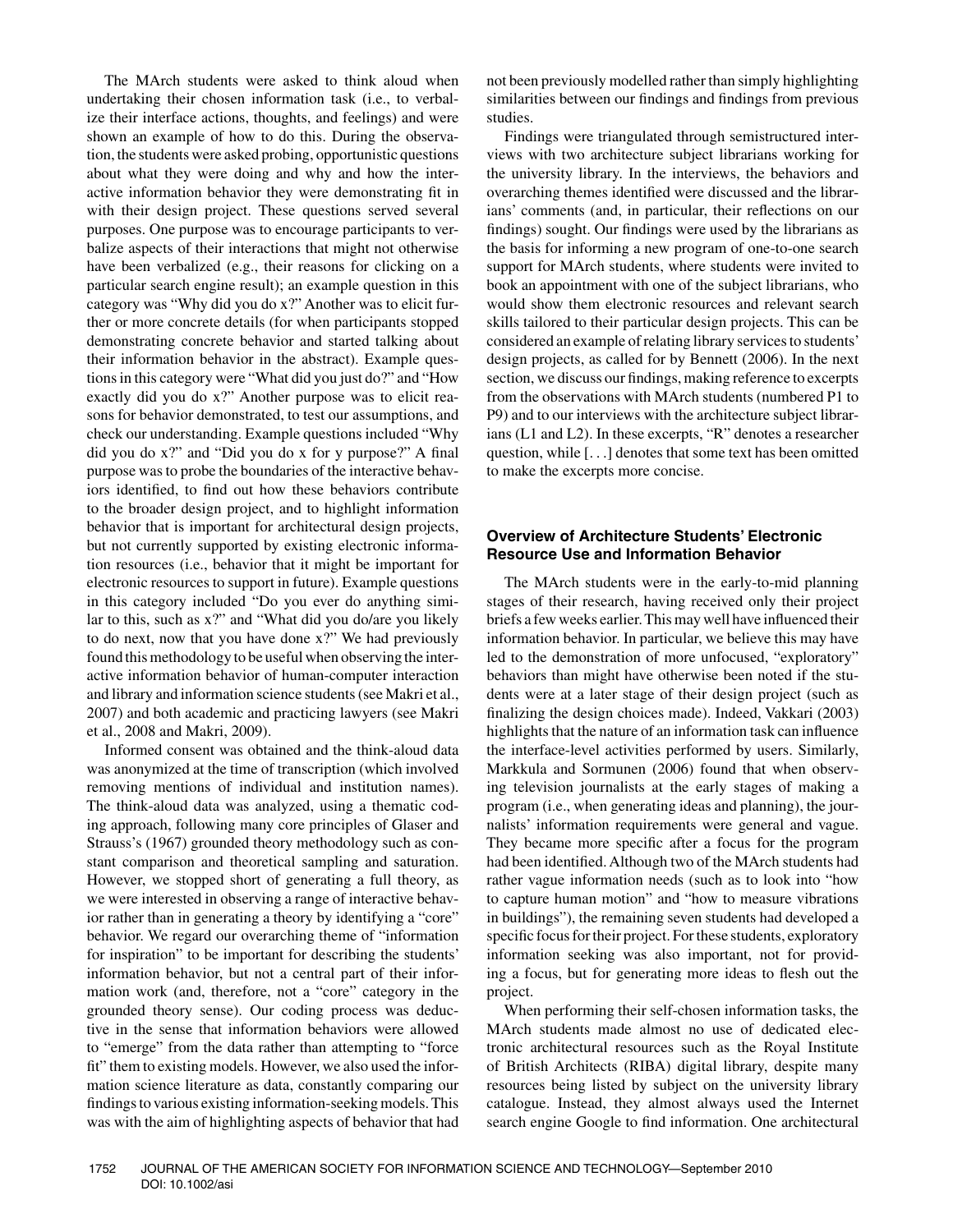The MArch students were asked to think aloud when undertaking their chosen information task (i.e., to verbalize their interface actions, thoughts, and feelings) and were shown an example of how to do this. During the observation, the students were asked probing, opportunistic questions about what they were doing and why and how the interactive information behavior they were demonstrating fit in with their design project. These questions served several purposes. One purpose was to encourage participants to verbalize aspects of their interactions that might not otherwise have been verbalized (e.g., their reasons for clicking on a particular search engine result); an example question in this category was "Why did you do x?" Another was to elicit further or more concrete details (for when participants stopped demonstrating concrete behavior and started talking about their information behavior in the abstract). Example questions in this category were "What did you just do?" and "How exactly did you do x?" Another purpose was to elicit reasons for behavior demonstrated, to test our assumptions, and check our understanding. Example questions included "Why did you do x?" and "Did you do x for y purpose?" A final purpose was to probe the boundaries of the interactive behaviors identified, to find out how these behaviors contribute to the broader design project, and to highlight information behavior that is important for architectural design projects, but not currently supported by existing electronic information resources (i.e., behavior that it might be important for electronic resources to support in future). Example questions in this category included "Do you ever do anything similar to this, such as x?" and "What did you do/are you likely to do next, now that you have done x?" We had previously found this methodology to be useful when observing the interactive information behavior of human-computer interaction and library and information science students (see Makri et al., 2007) and both academic and practicing lawyers (see Makri et al., 2008 and Makri, 2009).

Informed consent was obtained and the think-aloud data was anonymized at the time of transcription (which involved removing mentions of individual and institution names). The think-aloud data was analyzed, using a thematic coding approach, following many core principles of Glaser and Strauss's (1967) grounded theory methodology such as constant comparison and theoretical sampling and saturation. However, we stopped short of generating a full theory, as we were interested in observing a range of interactive behavior rather than in generating a theory by identifying a "core" behavior. We regard our overarching theme of "information for inspiration" to be important for describing the students' information behavior, but not a central part of their information work (and, therefore, not a "core" category in the grounded theory sense). Our coding process was deductive in the sense that information behaviors were allowed to "emerge" from the data rather than attempting to "force fit" them to existing models. However, we also used the information science literature as data, constantly comparing our findings to various existing information-seeking models. This was with the aim of highlighting aspects of behavior that had

not been previously modelled rather than simply highlighting similarities between our findings and findings from previous studies.

Findings were triangulated through semistructured interviews with two architecture subject librarians working for the university library. In the interviews, the behaviors and overarching themes identified were discussed and the librarians' comments (and, in particular, their reflections on our findings) sought. Our findings were used by the librarians as the basis for informing a new program of one-to-one search support for MArch students, where students were invited to book an appointment with one of the subject librarians, who would show them electronic resources and relevant search skills tailored to their particular design projects. This can be considered an example of relating library services to students' design projects, as called for by Bennett (2006). In the next section, we discuss our findings, making reference to excerpts from the observations with MArch students (numbered P1 to P9) and to our interviews with the architecture subject librarians (L1 and L2). In these excerpts, "R" denotes a researcher question, while [...] denotes that some text has been omitted to make the excerpts more concise.

## **Overview of Architecture Students' Electronic Resource Use and Information Behavior**

The MArch students were in the early-to-mid planning stages of their research, having received only their project briefs a few weeks earlier. This may well have influenced their information behavior. In particular, we believe this may have led to the demonstration of more unfocused, "exploratory" behaviors than might have otherwise been noted if the students were at a later stage of their design project (such as finalizing the design choices made). Indeed, Vakkari (2003) highlights that the nature of an information task can influence the interface-level activities performed by users. Similarly, Markkula and Sormunen (2006) found that when observing television journalists at the early stages of making a program (i.e., when generating ideas and planning), the journalists' information requirements were general and vague. They became more specific after a focus for the program had been identified. Although two of the MArch students had rather vague information needs (such as to look into "how to capture human motion" and "how to measure vibrations in buildings"), the remaining seven students had developed a specific focus for their project. For these students, exploratory information seeking was also important, not for providing a focus, but for generating more ideas to flesh out the project.

When performing their self-chosen information tasks, the MArch students made almost no use of dedicated electronic architectural resources such as the Royal Institute of British Architects (RIBA) digital library, despite many resources being listed by subject on the university library catalogue. Instead, they almost always used the Internet search engine Google to find information. One architectural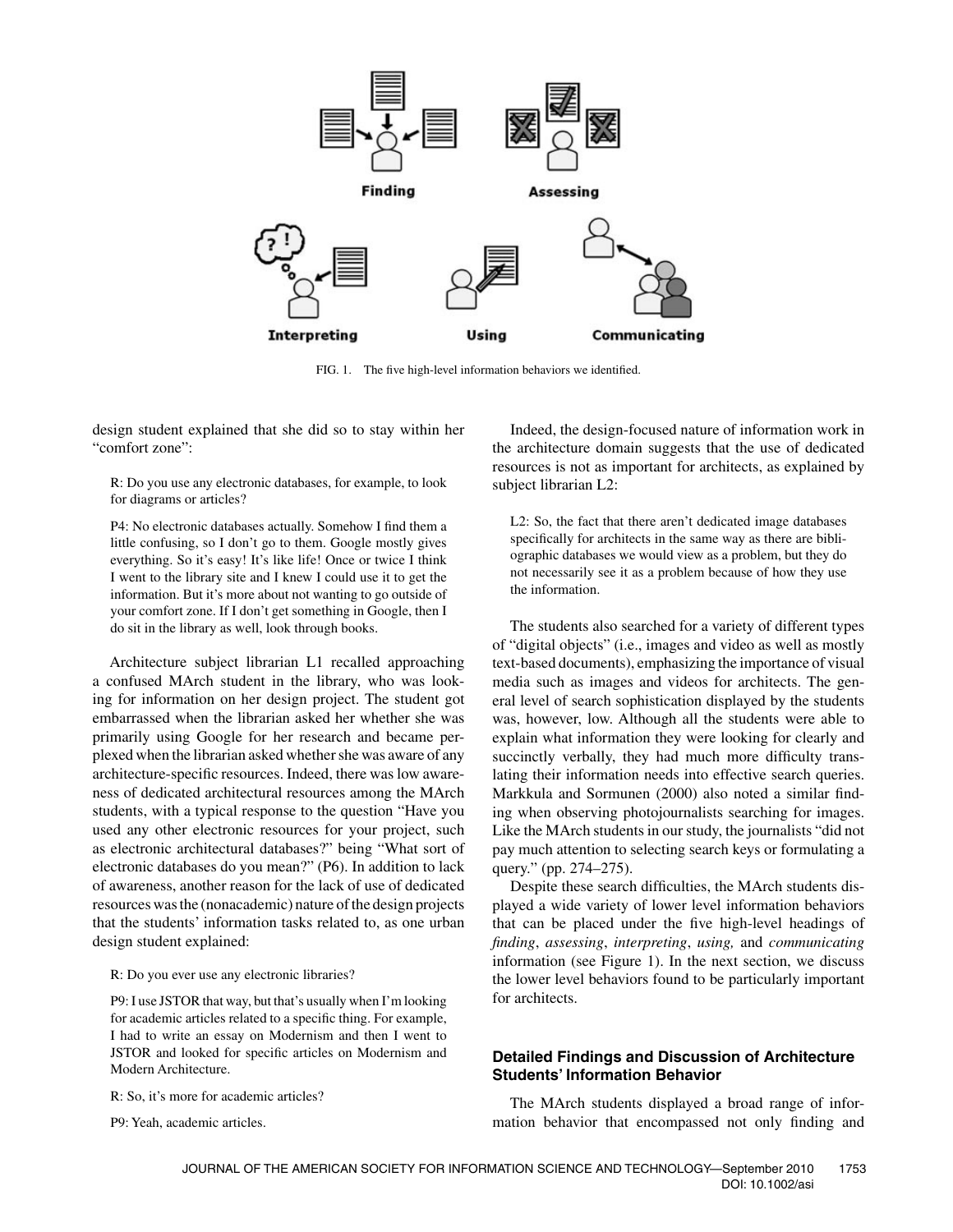

FIG. 1. The five high-level information behaviors we identified.

design student explained that she did so to stay within her "comfort zone":

R: Do you use any electronic databases, for example, to look for diagrams or articles?

P4: No electronic databases actually. Somehow I find them a little confusing, so I don't go to them. Google mostly gives everything. So it's easy! It's like life! Once or twice I think I went to the library site and I knew I could use it to get the information. But it's more about not wanting to go outside of your comfort zone. If I don't get something in Google, then I do sit in the library as well, look through books.

Architecture subject librarian L1 recalled approaching a confused MArch student in the library, who was looking for information on her design project. The student got embarrassed when the librarian asked her whether she was primarily using Google for her research and became perplexed when the librarian asked whether she was aware of any architecture-specific resources. Indeed, there was low awareness of dedicated architectural resources among the MArch students, with a typical response to the question "Have you used any other electronic resources for your project, such as electronic architectural databases?" being "What sort of electronic databases do you mean?" (P6). In addition to lack of awareness, another reason for the lack of use of dedicated resources was the (nonacademic) nature of the design projects that the students' information tasks related to, as one urban design student explained:

R: Do you ever use any electronic libraries?

P9: I use JSTOR that way, but that's usually when I'm looking for academic articles related to a specific thing. For example, I had to write an essay on Modernism and then I went to JSTOR and looked for specific articles on Modernism and Modern Architecture.

R: So, it's more for academic articles?

P9: Yeah, academic articles.

Indeed, the design-focused nature of information work in the architecture domain suggests that the use of dedicated resources is not as important for architects, as explained by subject librarian L2:

L2: So, the fact that there aren't dedicated image databases specifically for architects in the same way as there are bibliographic databases we would view as a problem, but they do not necessarily see it as a problem because of how they use the information.

The students also searched for a variety of different types of "digital objects" (i.e., images and video as well as mostly text-based documents), emphasizing the importance of visual media such as images and videos for architects. The general level of search sophistication displayed by the students was, however, low. Although all the students were able to explain what information they were looking for clearly and succinctly verbally, they had much more difficulty translating their information needs into effective search queries. Markkula and Sormunen (2000) also noted a similar finding when observing photojournalists searching for images. Like the MArch students in our study, the journalists "did not pay much attention to selecting search keys or formulating a query." (pp. 274–275).

Despite these search difficulties, the MArch students displayed a wide variety of lower level information behaviors that can be placed under the five high-level headings of *finding*, *assessing*, *interpreting*, *using,* and *communicating* information (see Figure 1). In the next section, we discuss the lower level behaviors found to be particularly important for architects.

# **Detailed Findings and Discussion of Architecture Students' Information Behavior**

The MArch students displayed a broad range of information behavior that encompassed not only finding and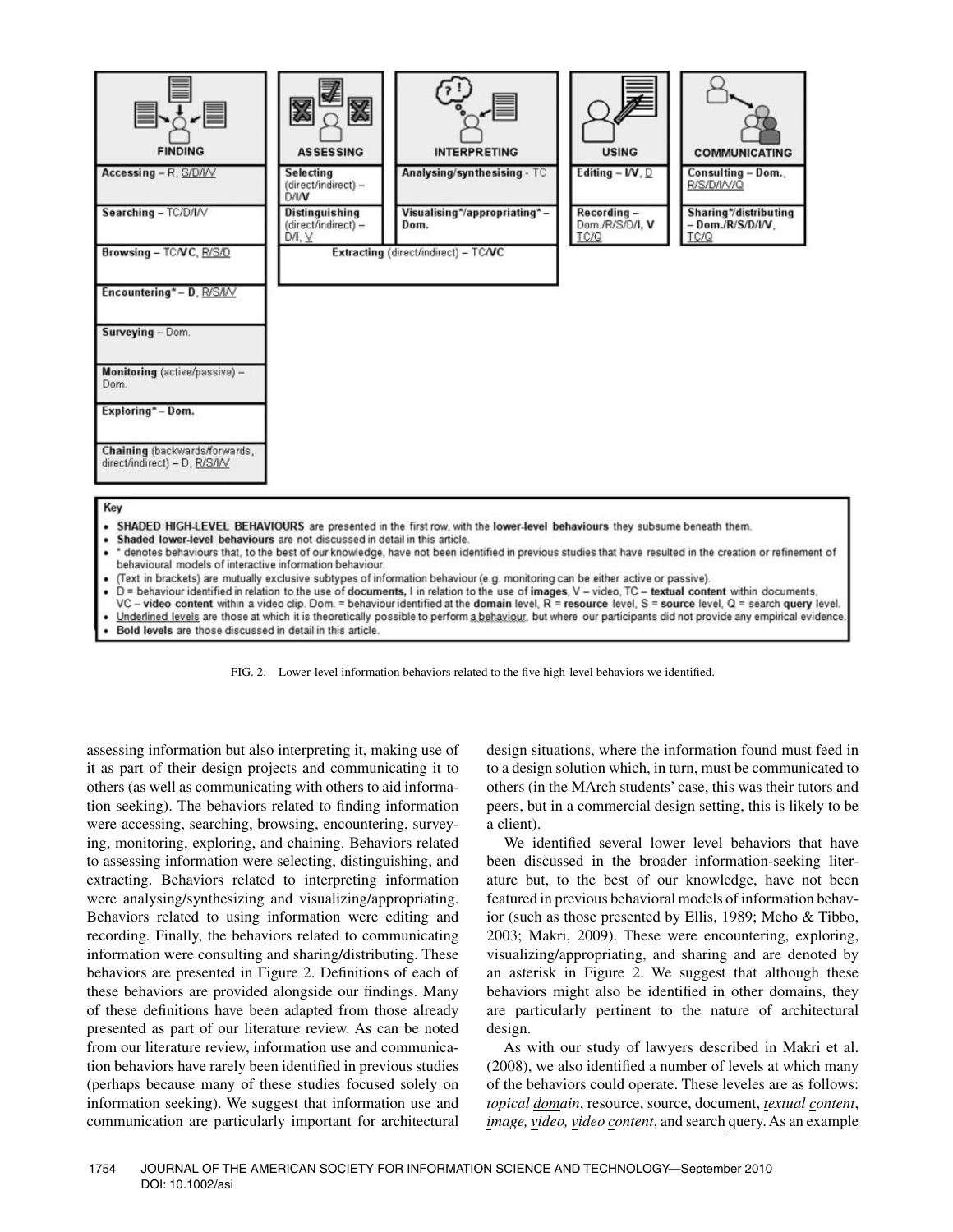

denotes behaviours that, to the best of our knowledge, have not been identified in previous studies that have resulted in the creation or refinement of behavioural models of interactive information behaviour.

(Text in brackets) are mutually exclusive subtypes of information behaviour (e.g. monitoring can be either active or passive).

D = behaviour identified in relation to the use of documents, I in relation to the use of images, V - video, TC - textual content within documents, VC - video content within a video clip. Dom. = behaviouridentified at the domain level, R = resource level, S = source level, Q = search query level.

Underlined levels are those at which it is theoretically possible to perform a behaviour, but where our participants did not provide any empirical evidence.

Bold levels are those discussed in detail in this article.

FIG. 2. Lower-level information behaviors related to the five high-level behaviors we identified.

assessing information but also interpreting it, making use of it as part of their design projects and communicating it to others (as well as communicating with others to aid information seeking). The behaviors related to finding information were accessing, searching, browsing, encountering, surveying, monitoring, exploring, and chaining. Behaviors related to assessing information were selecting, distinguishing, and extracting. Behaviors related to interpreting information were analysing/synthesizing and visualizing/appropriating. Behaviors related to using information were editing and recording. Finally, the behaviors related to communicating information were consulting and sharing/distributing. These behaviors are presented in Figure 2. Definitions of each of these behaviors are provided alongside our findings. Many of these definitions have been adapted from those already presented as part of our literature review. As can be noted from our literature review, information use and communication behaviors have rarely been identified in previous studies (perhaps because many of these studies focused solely on information seeking). We suggest that information use and communication are particularly important for architectural

design situations, where the information found must feed in to a design solution which, in turn, must be communicated to others (in the MArch students' case, this was their tutors and peers, but in a commercial design setting, this is likely to be a client).

We identified several lower level behaviors that have been discussed in the broader information-seeking literature but, to the best of our knowledge, have not been featured in previous behavioral models of information behavior (such as those presented by Ellis, 1989; Meho & Tibbo, 2003; Makri, 2009). These were encountering, exploring, visualizing/appropriating, and sharing and are denoted by an asterisk in Figure 2. We suggest that although these behaviors might also be identified in other domains, they are particularly pertinent to the nature of architectural design.

As with our study of lawyers described in Makri et al. (2008), we also identified a number of levels at which many of the behaviors could operate. These leveles are as follows: *topical domain*, resource, source, document, *textual content*, *image, video, video content*, and search query. As an example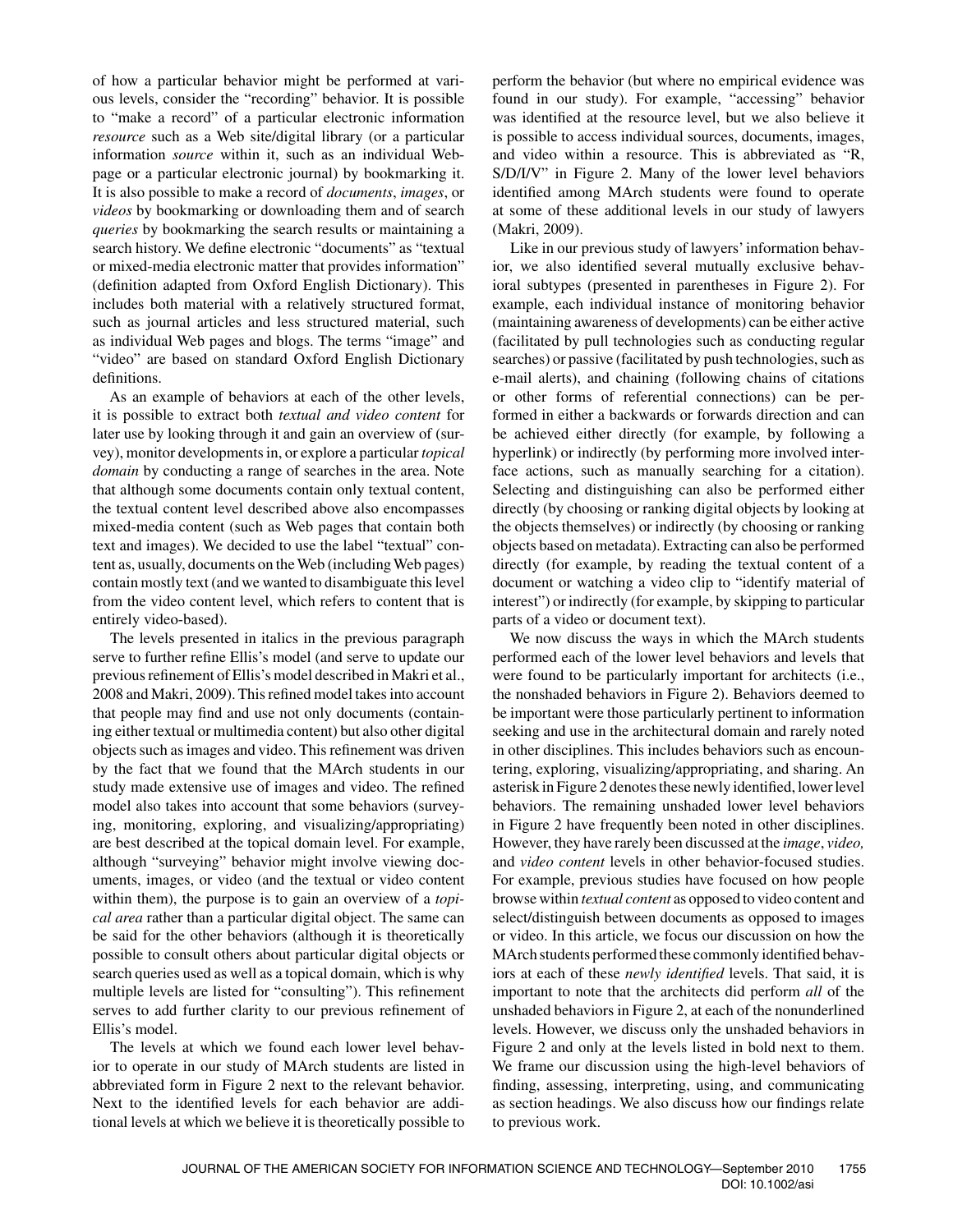of how a particular behavior might be performed at various levels, consider the "recording" behavior. It is possible to "make a record" of a particular electronic information *resource* such as a Web site/digital library (or a particular information *source* within it, such as an individual Webpage or a particular electronic journal) by bookmarking it. It is also possible to make a record of *documents*, *images*, or *videos* by bookmarking or downloading them and of search *queries* by bookmarking the search results or maintaining a search history. We define electronic "documents" as "textual or mixed-media electronic matter that provides information" (definition adapted from Oxford English Dictionary). This includes both material with a relatively structured format, such as journal articles and less structured material, such as individual Web pages and blogs. The terms "image" and "video" are based on standard Oxford English Dictionary definitions.

As an example of behaviors at each of the other levels, it is possible to extract both *textual and video content* for later use by looking through it and gain an overview of (survey), monitor developments in, or explore a particular *topical domain* by conducting a range of searches in the area. Note that although some documents contain only textual content, the textual content level described above also encompasses mixed-media content (such as Web pages that contain both text and images). We decided to use the label "textual" content as, usually, documents on theWeb (includingWeb pages) contain mostly text (and we wanted to disambiguate this level from the video content level, which refers to content that is entirely video-based).

The levels presented in italics in the previous paragraph serve to further refine Ellis's model (and serve to update our previous refinement of Ellis's model described in Makri et al., 2008 and Makri, 2009). This refined model takes into account that people may find and use not only documents (containing either textual or multimedia content) but also other digital objects such as images and video. This refinement was driven by the fact that we found that the MArch students in our study made extensive use of images and video. The refined model also takes into account that some behaviors (surveying, monitoring, exploring, and visualizing/appropriating) are best described at the topical domain level. For example, although "surveying" behavior might involve viewing documents, images, or video (and the textual or video content within them), the purpose is to gain an overview of a *topical area* rather than a particular digital object. The same can be said for the other behaviors (although it is theoretically possible to consult others about particular digital objects or search queries used as well as a topical domain, which is why multiple levels are listed for "consulting"). This refinement serves to add further clarity to our previous refinement of Ellis's model.

The levels at which we found each lower level behavior to operate in our study of MArch students are listed in abbreviated form in Figure 2 next to the relevant behavior. Next to the identified levels for each behavior are additional levels at which we believe it is theoretically possible to perform the behavior (but where no empirical evidence was found in our study). For example, "accessing" behavior was identified at the resource level, but we also believe it is possible to access individual sources, documents, images, and video within a resource. This is abbreviated as "R, S/D/I/V" in Figure 2. Many of the lower level behaviors identified among MArch students were found to operate at some of these additional levels in our study of lawyers (Makri, 2009).

Like in our previous study of lawyers' information behavior, we also identified several mutually exclusive behavioral subtypes (presented in parentheses in Figure 2). For example, each individual instance of monitoring behavior (maintaining awareness of developments) can be either active (facilitated by pull technologies such as conducting regular searches) or passive (facilitated by push technologies, such as e-mail alerts), and chaining (following chains of citations or other forms of referential connections) can be performed in either a backwards or forwards direction and can be achieved either directly (for example, by following a hyperlink) or indirectly (by performing more involved interface actions, such as manually searching for a citation). Selecting and distinguishing can also be performed either directly (by choosing or ranking digital objects by looking at the objects themselves) or indirectly (by choosing or ranking objects based on metadata). Extracting can also be performed directly (for example, by reading the textual content of a document or watching a video clip to "identify material of interest") or indirectly (for example, by skipping to particular parts of a video or document text).

We now discuss the ways in which the MArch students performed each of the lower level behaviors and levels that were found to be particularly important for architects (i.e., the nonshaded behaviors in Figure 2). Behaviors deemed to be important were those particularly pertinent to information seeking and use in the architectural domain and rarely noted in other disciplines. This includes behaviors such as encountering, exploring, visualizing/appropriating, and sharing. An asterisk in Figure 2 denotes these newly identified, lower level behaviors. The remaining unshaded lower level behaviors in Figure 2 have frequently been noted in other disciplines. However, they have rarely been discussed at the *image*, *video,* and *video content* levels in other behavior-focused studies. For example, previous studies have focused on how people browse within *textual content* as opposed to video content and select/distinguish between documents as opposed to images or video. In this article, we focus our discussion on how the MArch students performed these commonly identified behaviors at each of these *newly identified* levels. That said, it is important to note that the architects did perform *all* of the unshaded behaviors in Figure 2, at each of the nonunderlined levels. However, we discuss only the unshaded behaviors in Figure 2 and only at the levels listed in bold next to them. We frame our discussion using the high-level behaviors of finding, assessing, interpreting, using, and communicating as section headings. We also discuss how our findings relate to previous work.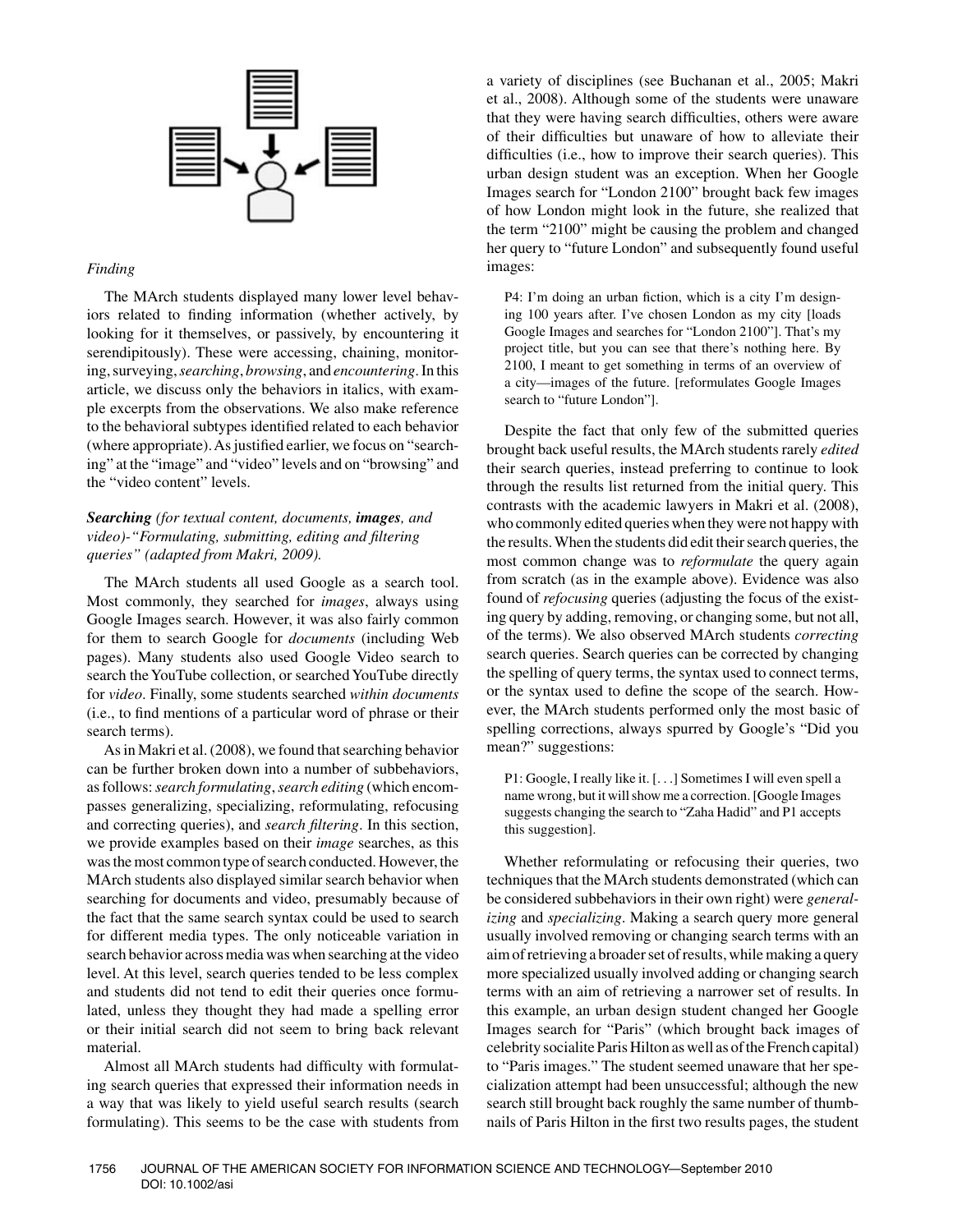

#### *Finding*

The MArch students displayed many lower level behaviors related to finding information (whether actively, by looking for it themselves, or passively, by encountering it serendipitously). These were accessing, chaining, monitoring, surveying,*searching*, *browsing*, and *encountering*. In this article, we discuss only the behaviors in italics, with example excerpts from the observations. We also make reference to the behavioral subtypes identified related to each behavior (where appropriate).As justified earlier, we focus on "searching" at the "image" and "video" levels and on "browsing" and the "video content" levels.

# *Searching (for textual content, documents, images, and video)-"Formulating, submitting, editing and filtering queries" (adapted from Makri, 2009).*

The MArch students all used Google as a search tool. Most commonly, they searched for *images*, always using Google Images search. However, it was also fairly common for them to search Google for *documents* (including Web pages). Many students also used Google Video search to search the YouTube collection, or searched YouTube directly for *video*. Finally, some students searched *within documents* (i.e., to find mentions of a particular word of phrase or their search terms).

As in Makri et al. (2008), we found that searching behavior can be further broken down into a number of subbehaviors, as follows:*search formulating*,*search editing* (which encompasses generalizing, specializing, reformulating, refocusing and correcting queries), and *search filtering*. In this section, we provide examples based on their *image* searches, as this was the most common type of search conducted. However, the MArch students also displayed similar search behavior when searching for documents and video, presumably because of the fact that the same search syntax could be used to search for different media types. The only noticeable variation in search behavior across media was when searching at the video level. At this level, search queries tended to be less complex and students did not tend to edit their queries once formulated, unless they thought they had made a spelling error or their initial search did not seem to bring back relevant material.

Almost all MArch students had difficulty with formulating search queries that expressed their information needs in a way that was likely to yield useful search results (search formulating). This seems to be the case with students from a variety of disciplines (see Buchanan et al., 2005; Makri et al., 2008). Although some of the students were unaware that they were having search difficulties, others were aware of their difficulties but unaware of how to alleviate their difficulties (i.e., how to improve their search queries). This urban design student was an exception. When her Google Images search for "London 2100" brought back few images of how London might look in the future, she realized that the term "2100" might be causing the problem and changed her query to "future London" and subsequently found useful images:

P4: I'm doing an urban fiction, which is a city I'm designing 100 years after. I've chosen London as my city [loads Google Images and searches for "London 2100"]. That's my project title, but you can see that there's nothing here. By 2100, I meant to get something in terms of an overview of a city—images of the future. [reformulates Google Images search to "future London"].

Despite the fact that only few of the submitted queries brought back useful results, the MArch students rarely *edited* their search queries, instead preferring to continue to look through the results list returned from the initial query. This contrasts with the academic lawyers in Makri et al. (2008), who commonly edited queries when they were not happy with the results.When the students did edit their search queries, the most common change was to *reformulate* the query again from scratch (as in the example above). Evidence was also found of *refocusing* queries (adjusting the focus of the existing query by adding, removing, or changing some, but not all, of the terms). We also observed MArch students *correcting* search queries. Search queries can be corrected by changing the spelling of query terms, the syntax used to connect terms, or the syntax used to define the scope of the search. However, the MArch students performed only the most basic of spelling corrections, always spurred by Google's "Did you mean?" suggestions:

P1: Google, I really like it. [...] Sometimes I will even spell a name wrong, but it will show me a correction. [Google Images suggests changing the search to "Zaha Hadid" and P1 accepts this suggestion].

Whether reformulating or refocusing their queries, two techniques that the MArch students demonstrated (which can be considered subbehaviors in their own right) were *generalizing* and *specializing*. Making a search query more general usually involved removing or changing search terms with an aim of retrieving a broader set of results, while making a query more specialized usually involved adding or changing search terms with an aim of retrieving a narrower set of results. In this example, an urban design student changed her Google Images search for "Paris" (which brought back images of celebrity socialite Paris Hilton as well as of the French capital) to "Paris images." The student seemed unaware that her specialization attempt had been unsuccessful; although the new search still brought back roughly the same number of thumbnails of Paris Hilton in the first two results pages, the student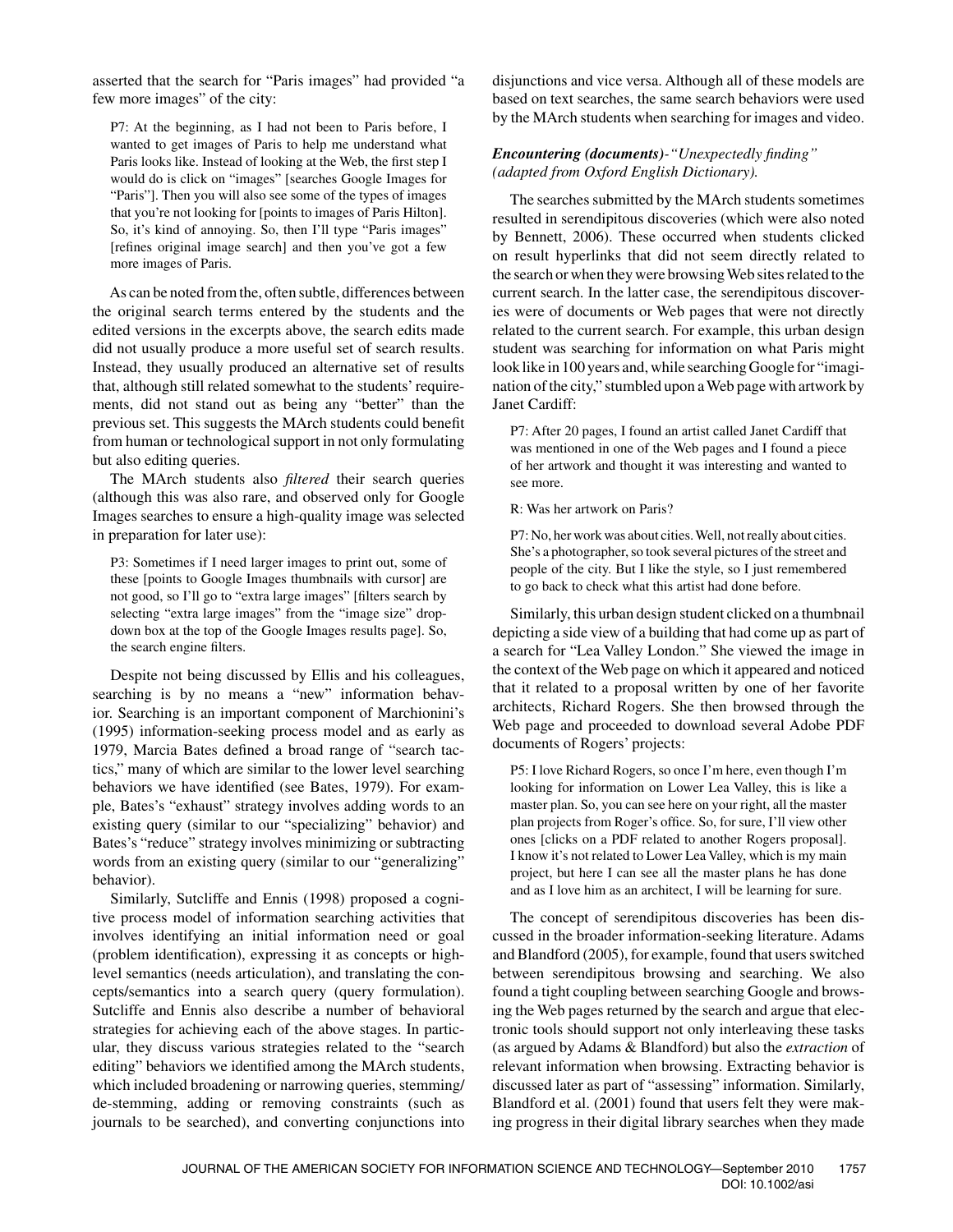asserted that the search for "Paris images" had provided "a few more images" of the city:

P7: At the beginning, as I had not been to Paris before, I wanted to get images of Paris to help me understand what Paris looks like. Instead of looking at the Web, the first step I would do is click on "images" [searches Google Images for "Paris"]. Then you will also see some of the types of images that you're not looking for [points to images of Paris Hilton]. So, it's kind of annoying. So, then I'll type "Paris images" [refines original image search] and then you've got a few more images of Paris.

As can be noted from the, often subtle, differences between the original search terms entered by the students and the edited versions in the excerpts above, the search edits made did not usually produce a more useful set of search results. Instead, they usually produced an alternative set of results that, although still related somewhat to the students' requirements, did not stand out as being any "better" than the previous set. This suggests the MArch students could benefit from human or technological support in not only formulating but also editing queries.

The MArch students also *filtered* their search queries (although this was also rare, and observed only for Google Images searches to ensure a high-quality image was selected in preparation for later use):

P3: Sometimes if I need larger images to print out, some of these [points to Google Images thumbnails with cursor] are not good, so I'll go to "extra large images" [filters search by selecting "extra large images" from the "image size" dropdown box at the top of the Google Images results page]. So, the search engine filters.

Despite not being discussed by Ellis and his colleagues, searching is by no means a "new" information behavior. Searching is an important component of Marchionini's (1995) information-seeking process model and as early as 1979, Marcia Bates defined a broad range of "search tactics," many of which are similar to the lower level searching behaviors we have identified (see Bates, 1979). For example, Bates's "exhaust" strategy involves adding words to an existing query (similar to our "specializing" behavior) and Bates's "reduce" strategy involves minimizing or subtracting words from an existing query (similar to our "generalizing" behavior).

Similarly, Sutcliffe and Ennis (1998) proposed a cognitive process model of information searching activities that involves identifying an initial information need or goal (problem identification), expressing it as concepts or highlevel semantics (needs articulation), and translating the concepts/semantics into a search query (query formulation). Sutcliffe and Ennis also describe a number of behavioral strategies for achieving each of the above stages. In particular, they discuss various strategies related to the "search editing" behaviors we identified among the MArch students, which included broadening or narrowing queries, stemming/ de-stemming, adding or removing constraints (such as journals to be searched), and converting conjunctions into disjunctions and vice versa. Although all of these models are based on text searches, the same search behaviors were used by the MArch students when searching for images and video.

# *Encountering (documents)-"Unexpectedly finding" (adapted from Oxford English Dictionary).*

The searches submitted by the MArch students sometimes resulted in serendipitous discoveries (which were also noted by Bennett, 2006). These occurred when students clicked on result hyperlinks that did not seem directly related to the search or when they were browsingWeb sites related to the current search. In the latter case, the serendipitous discoveries were of documents or Web pages that were not directly related to the current search. For example, this urban design student was searching for information on what Paris might look like in 100 years and, while searching Google for "imagination of the city," stumbled upon aWeb page with artwork by Janet Cardiff:

P7: After 20 pages, I found an artist called Janet Cardiff that was mentioned in one of the Web pages and I found a piece of her artwork and thought it was interesting and wanted to see more.

R: Was her artwork on Paris?

P7: No, her work was about cities.Well, not really about cities. She's a photographer, so took several pictures of the street and people of the city. But I like the style, so I just remembered to go back to check what this artist had done before.

Similarly, this urban design student clicked on a thumbnail depicting a side view of a building that had come up as part of a search for "Lea Valley London." She viewed the image in the context of the Web page on which it appeared and noticed that it related to a proposal written by one of her favorite architects, Richard Rogers. She then browsed through the Web page and proceeded to download several Adobe PDF documents of Rogers' projects:

P5: I love Richard Rogers, so once I'm here, even though I'm looking for information on Lower Lea Valley, this is like a master plan. So, you can see here on your right, all the master plan projects from Roger's office. So, for sure, I'll view other ones [clicks on a PDF related to another Rogers proposal]. I know it's not related to Lower Lea Valley, which is my main project, but here I can see all the master plans he has done and as I love him as an architect, I will be learning for sure.

The concept of serendipitous discoveries has been discussed in the broader information-seeking literature. Adams and Blandford (2005), for example, found that users switched between serendipitous browsing and searching. We also found a tight coupling between searching Google and browsing the Web pages returned by the search and argue that electronic tools should support not only interleaving these tasks (as argued by Adams & Blandford) but also the *extraction* of relevant information when browsing. Extracting behavior is discussed later as part of "assessing" information. Similarly, Blandford et al. (2001) found that users felt they were making progress in their digital library searches when they made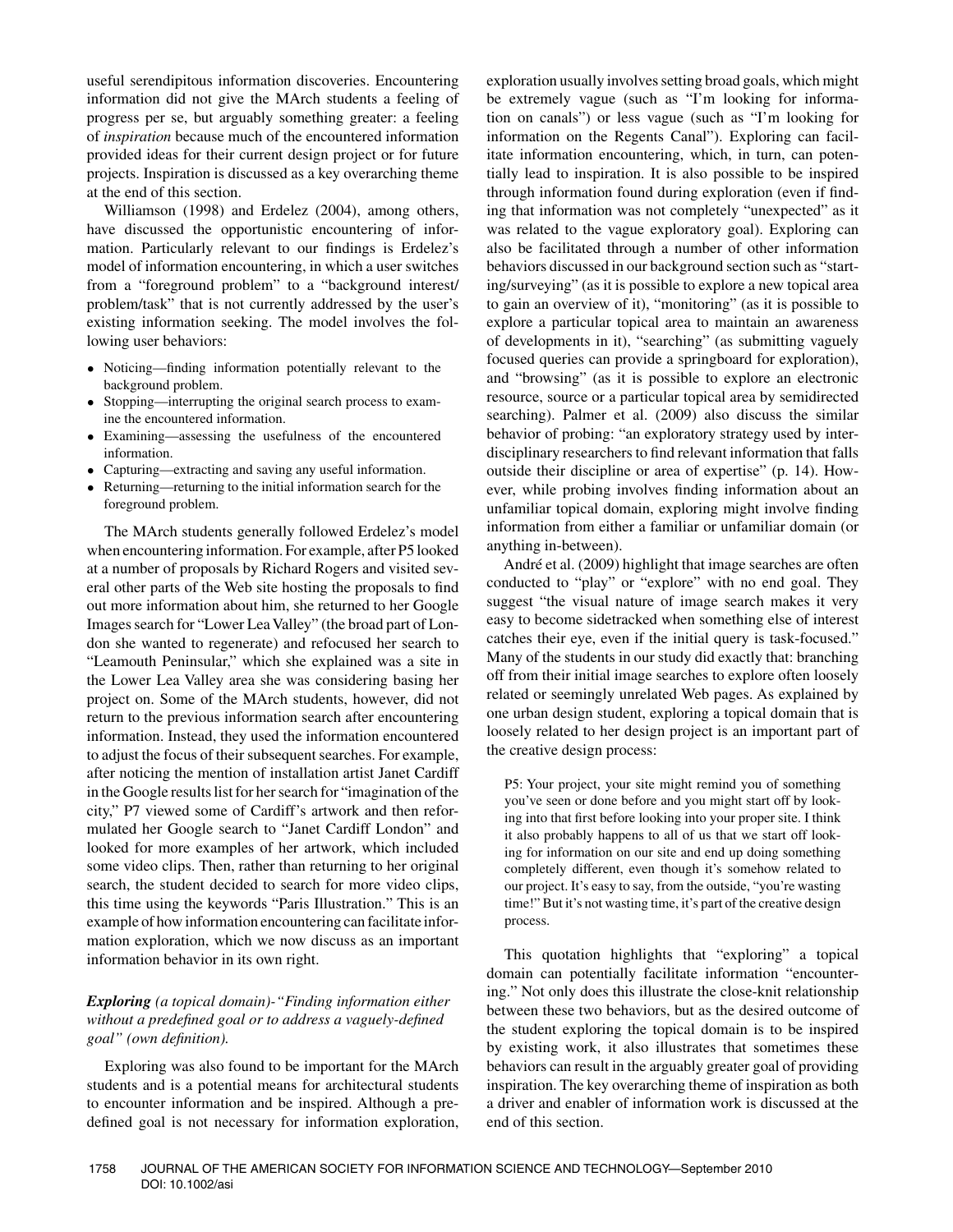useful serendipitous information discoveries. Encountering information did not give the MArch students a feeling of progress per se, but arguably something greater: a feeling of *inspiration* because much of the encountered information provided ideas for their current design project or for future projects. Inspiration is discussed as a key overarching theme at the end of this section.

Williamson (1998) and Erdelez (2004), among others, have discussed the opportunistic encountering of information. Particularly relevant to our findings is Erdelez's model of information encountering, in which a user switches from a "foreground problem" to a "background interest/ problem/task" that is not currently addressed by the user's existing information seeking. The model involves the following user behaviors:

- Noticing—finding information potentially relevant to the background problem.
- Stopping—interrupting the original search process to examine the encountered information.
- Examining—assessing the usefulness of the encountered information.
- Capturing—extracting and saving any useful information.
- Returning—returning to the initial information search for the foreground problem.

The MArch students generally followed Erdelez's model when encountering information. For example, after P5 looked at a number of proposals by Richard Rogers and visited several other parts of the Web site hosting the proposals to find out more information about him, she returned to her Google Images search for "Lower Lea Valley" (the broad part of London she wanted to regenerate) and refocused her search to "Leamouth Peninsular," which she explained was a site in the Lower Lea Valley area she was considering basing her project on. Some of the MArch students, however, did not return to the previous information search after encountering information. Instead, they used the information encountered to adjust the focus of their subsequent searches. For example, after noticing the mention of installation artist Janet Cardiff in the Google results list for her search for "imagination of the city," P7 viewed some of Cardiff's artwork and then reformulated her Google search to "Janet Cardiff London" and looked for more examples of her artwork, which included some video clips. Then, rather than returning to her original search, the student decided to search for more video clips, this time using the keywords "Paris Illustration." This is an example of how information encountering can facilitate information exploration, which we now discuss as an important information behavior in its own right.

# *Exploring (a topical domain)-"Finding information either without a predefined goal or to address a vaguely-defined goal" (own definition).*

Exploring was also found to be important for the MArch students and is a potential means for architectural students to encounter information and be inspired. Although a predefined goal is not necessary for information exploration,

exploration usually involves setting broad goals, which might be extremely vague (such as "I'm looking for information on canals") or less vague (such as "I'm looking for information on the Regents Canal"). Exploring can facilitate information encountering, which, in turn, can potentially lead to inspiration. It is also possible to be inspired through information found during exploration (even if finding that information was not completely "unexpected" as it was related to the vague exploratory goal). Exploring can also be facilitated through a number of other information behaviors discussed in our background section such as "starting/surveying" (as it is possible to explore a new topical area to gain an overview of it), "monitoring" (as it is possible to explore a particular topical area to maintain an awareness of developments in it), "searching" (as submitting vaguely focused queries can provide a springboard for exploration), and "browsing" (as it is possible to explore an electronic resource, source or a particular topical area by semidirected searching). Palmer et al. (2009) also discuss the similar behavior of probing: "an exploratory strategy used by interdisciplinary researchers to find relevant information that falls outside their discipline or area of expertise" (p. 14). However, while probing involves finding information about an unfamiliar topical domain, exploring might involve finding information from either a familiar or unfamiliar domain (or anything in-between).

André et al. (2009) highlight that image searches are often conducted to "play" or "explore" with no end goal. They suggest "the visual nature of image search makes it very easy to become sidetracked when something else of interest catches their eye, even if the initial query is task-focused." Many of the students in our study did exactly that: branching off from their initial image searches to explore often loosely related or seemingly unrelated Web pages. As explained by one urban design student, exploring a topical domain that is loosely related to her design project is an important part of the creative design process:

P5: Your project, your site might remind you of something you've seen or done before and you might start off by looking into that first before looking into your proper site. I think it also probably happens to all of us that we start off looking for information on our site and end up doing something completely different, even though it's somehow related to our project. It's easy to say, from the outside, "you're wasting time!" But it's not wasting time, it's part of the creative design process.

This quotation highlights that "exploring" a topical domain can potentially facilitate information "encountering." Not only does this illustrate the close-knit relationship between these two behaviors, but as the desired outcome of the student exploring the topical domain is to be inspired by existing work, it also illustrates that sometimes these behaviors can result in the arguably greater goal of providing inspiration. The key overarching theme of inspiration as both a driver and enabler of information work is discussed at the end of this section.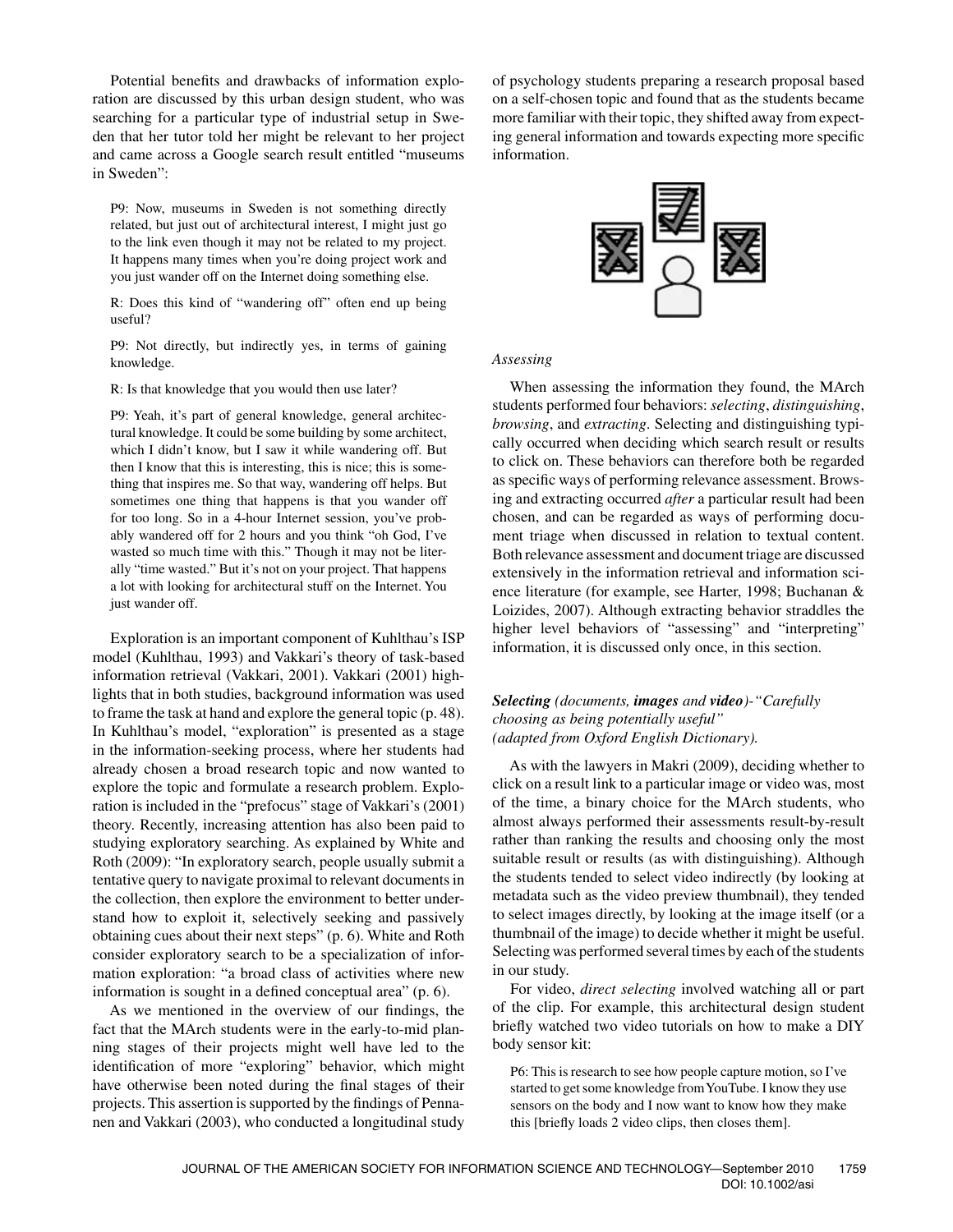Potential benefits and drawbacks of information exploration are discussed by this urban design student, who was searching for a particular type of industrial setup in Sweden that her tutor told her might be relevant to her project and came across a Google search result entitled "museums in Sweden":

P9: Now, museums in Sweden is not something directly related, but just out of architectural interest, I might just go to the link even though it may not be related to my project. It happens many times when you're doing project work and you just wander off on the Internet doing something else.

R: Does this kind of "wandering off" often end up being useful?

P9: Not directly, but indirectly yes, in terms of gaining knowledge.

R: Is that knowledge that you would then use later?

P9: Yeah, it's part of general knowledge, general architectural knowledge. It could be some building by some architect, which I didn't know, but I saw it while wandering off. But then I know that this is interesting, this is nice; this is something that inspires me. So that way, wandering off helps. But sometimes one thing that happens is that you wander off for too long. So in a 4-hour Internet session, you've probably wandered off for 2 hours and you think "oh God, I've wasted so much time with this." Though it may not be literally "time wasted." But it's not on your project. That happens a lot with looking for architectural stuff on the Internet. You just wander off.

Exploration is an important component of Kuhlthau's ISP model (Kuhlthau, 1993) and Vakkari's theory of task-based information retrieval (Vakkari, 2001). Vakkari (2001) highlights that in both studies, background information was used to frame the task at hand and explore the general topic (p. 48). In Kuhlthau's model, "exploration" is presented as a stage in the information-seeking process, where her students had already chosen a broad research topic and now wanted to explore the topic and formulate a research problem. Exploration is included in the "prefocus" stage of Vakkari's (2001) theory. Recently, increasing attention has also been paid to studying exploratory searching. As explained by White and Roth (2009): "In exploratory search, people usually submit a tentative query to navigate proximal to relevant documents in the collection, then explore the environment to better understand how to exploit it, selectively seeking and passively obtaining cues about their next steps" (p. 6). White and Roth consider exploratory search to be a specialization of information exploration: "a broad class of activities where new information is sought in a defined conceptual area" (p. 6).

As we mentioned in the overview of our findings, the fact that the MArch students were in the early-to-mid planning stages of their projects might well have led to the identification of more "exploring" behavior, which might have otherwise been noted during the final stages of their projects. This assertion is supported by the findings of Pennanen and Vakkari (2003), who conducted a longitudinal study of psychology students preparing a research proposal based on a self-chosen topic and found that as the students became more familiar with their topic, they shifted away from expecting general information and towards expecting more specific information.



#### *Assessing*

When assessing the information they found, the MArch students performed four behaviors: *selecting*, *distinguishing*, *browsing*, and *extracting*. Selecting and distinguishing typically occurred when deciding which search result or results to click on. These behaviors can therefore both be regarded as specific ways of performing relevance assessment. Browsing and extracting occurred *after* a particular result had been chosen, and can be regarded as ways of performing document triage when discussed in relation to textual content. Both relevance assessment and document triage are discussed extensively in the information retrieval and information science literature (for example, see Harter, 1998; Buchanan & Loizides, 2007). Although extracting behavior straddles the higher level behaviors of "assessing" and "interpreting" information, it is discussed only once, in this section.

# *Selecting (documents, images and video)-"Carefully choosing as being potentially useful" (adapted from Oxford English Dictionary).*

As with the lawyers in Makri (2009), deciding whether to click on a result link to a particular image or video was, most of the time, a binary choice for the MArch students, who almost always performed their assessments result-by-result rather than ranking the results and choosing only the most suitable result or results (as with distinguishing). Although the students tended to select video indirectly (by looking at metadata such as the video preview thumbnail), they tended to select images directly, by looking at the image itself (or a thumbnail of the image) to decide whether it might be useful. Selecting was performed several times by each of the students in our study.

For video, *direct selecting* involved watching all or part of the clip. For example, this architectural design student briefly watched two video tutorials on how to make a DIY body sensor kit:

P6: This is research to see how people capture motion, so I've started to get some knowledge fromYouTube. I know they use sensors on the body and I now want to know how they make this [briefly loads 2 video clips, then closes them].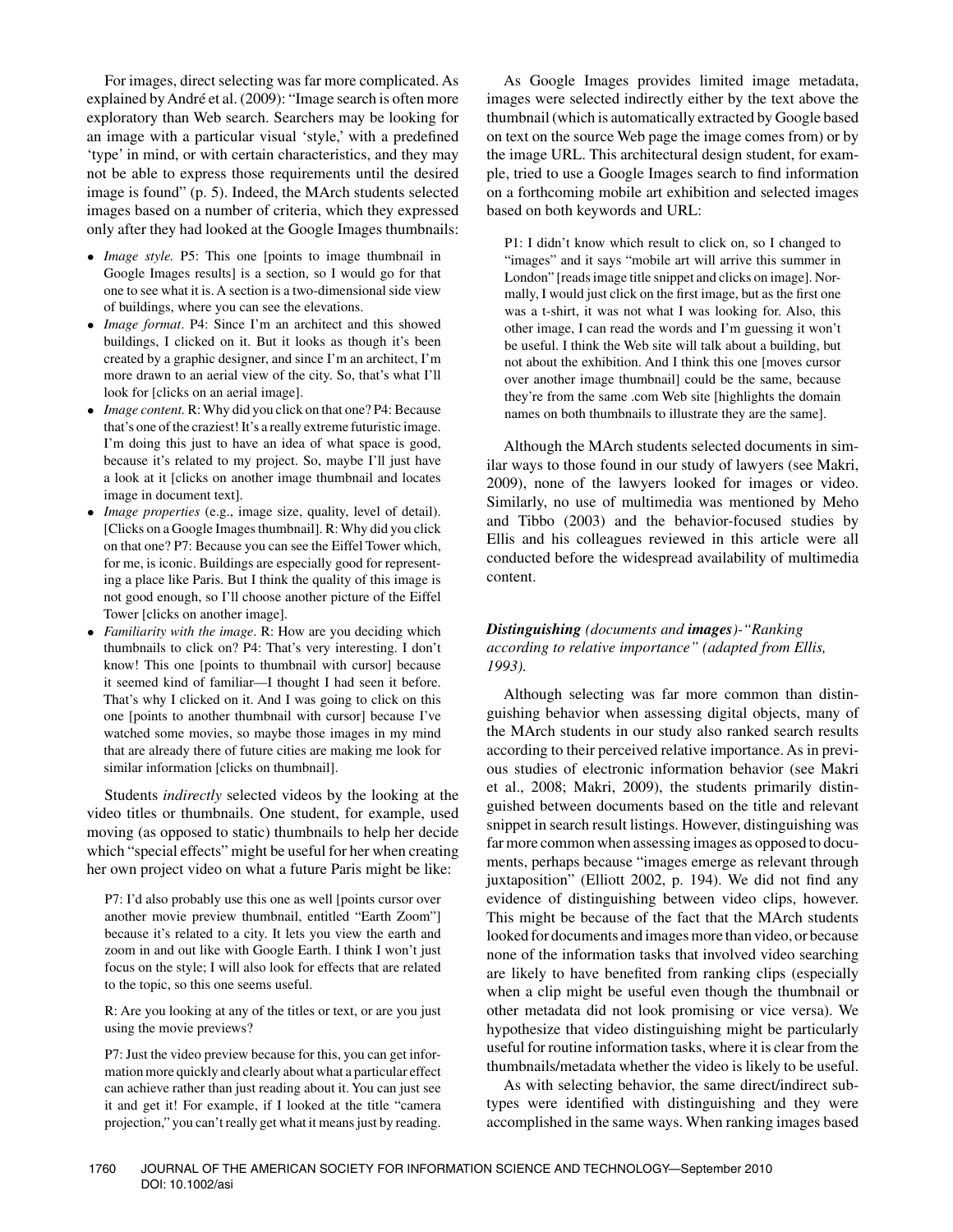For images, direct selecting was far more complicated. As explained by André et al. (2009): "Image search is often more exploratory than Web search. Searchers may be looking for an image with a particular visual 'style,' with a predefined 'type' in mind, or with certain characteristics, and they may not be able to express those requirements until the desired image is found" (p. 5). Indeed, the MArch students selected images based on a number of criteria, which they expressed only after they had looked at the Google Images thumbnails:

- *Image style.* P5: This one [points to image thumbnail in Google Images results] is a section, so I would go for that one to see what it is. A section is a two-dimensional side view of buildings, where you can see the elevations.
- *Image format*. P4: Since I'm an architect and this showed buildings, I clicked on it. But it looks as though it's been created by a graphic designer, and since I'm an architect, I'm more drawn to an aerial view of the city. So, that's what I'll look for [clicks on an aerial image].
- *Image content.* R:Why did you click on that one? P4: Because that's one of the craziest! It's a really extreme futuristic image. I'm doing this just to have an idea of what space is good, because it's related to my project. So, maybe I'll just have a look at it [clicks on another image thumbnail and locates image in document text].
- *Image properties* (e.g., image size, quality, level of detail). [Clicks on a Google Images thumbnail]. R:Why did you click on that one? P7: Because you can see the Eiffel Tower which, for me, is iconic. Buildings are especially good for representing a place like Paris. But I think the quality of this image is not good enough, so I'll choose another picture of the Eiffel Tower [clicks on another image].
- *Familiarity with the image*. R: How are you deciding which thumbnails to click on? P4: That's very interesting. I don't know! This one [points to thumbnail with cursor] because it seemed kind of familiar—I thought I had seen it before. That's why I clicked on it. And I was going to click on this one [points to another thumbnail with cursor] because I've watched some movies, so maybe those images in my mind that are already there of future cities are making me look for similar information [clicks on thumbnail].

Students *indirectly* selected videos by the looking at the video titles or thumbnails. One student, for example, used moving (as opposed to static) thumbnails to help her decide which "special effects" might be useful for her when creating her own project video on what a future Paris might be like:

P7: I'd also probably use this one as well [points cursor over another movie preview thumbnail, entitled "Earth Zoom"] because it's related to a city. It lets you view the earth and zoom in and out like with Google Earth. I think I won't just focus on the style; I will also look for effects that are related to the topic, so this one seems useful.

R: Are you looking at any of the titles or text, or are you just using the movie previews?

P7: Just the video preview because for this, you can get information more quickly and clearly about what a particular effect can achieve rather than just reading about it. You can just see it and get it! For example, if I looked at the title "camera projection," you can't really get what it means just by reading.

As Google Images provides limited image metadata, images were selected indirectly either by the text above the thumbnail (which is automatically extracted by Google based on text on the source Web page the image comes from) or by the image URL. This architectural design student, for example, tried to use a Google Images search to find information on a forthcoming mobile art exhibition and selected images based on both keywords and URL:

P1: I didn't know which result to click on, so I changed to "images" and it says "mobile art will arrive this summer in London" [reads image title snippet and clicks on image]. Normally, I would just click on the first image, but as the first one was a t-shirt, it was not what I was looking for. Also, this other image, I can read the words and I'm guessing it won't be useful. I think the Web site will talk about a building, but not about the exhibition. And I think this one [moves cursor over another image thumbnail] could be the same, because they're from the same .com Web site [highlights the domain names on both thumbnails to illustrate they are the same].

Although the MArch students selected documents in similar ways to those found in our study of lawyers (see Makri, 2009), none of the lawyers looked for images or video. Similarly, no use of multimedia was mentioned by Meho and Tibbo (2003) and the behavior-focused studies by Ellis and his colleagues reviewed in this article were all conducted before the widespread availability of multimedia content.

# *Distinguishing (documents and images)-"Ranking according to relative importance" (adapted from Ellis, 1993).*

Although selecting was far more common than distinguishing behavior when assessing digital objects, many of the MArch students in our study also ranked search results according to their perceived relative importance. As in previous studies of electronic information behavior (see Makri et al., 2008; Makri, 2009), the students primarily distinguished between documents based on the title and relevant snippet in search result listings. However, distinguishing was far more common when assessing images as opposed to documents, perhaps because "images emerge as relevant through juxtaposition" (Elliott 2002, p. 194). We did not find any evidence of distinguishing between video clips, however. This might be because of the fact that the MArch students looked for documents and images more than video, or because none of the information tasks that involved video searching are likely to have benefited from ranking clips (especially when a clip might be useful even though the thumbnail or other metadata did not look promising or vice versa). We hypothesize that video distinguishing might be particularly useful for routine information tasks, where it is clear from the thumbnails/metadata whether the video is likely to be useful.

As with selecting behavior, the same direct/indirect subtypes were identified with distinguishing and they were accomplished in the same ways. When ranking images based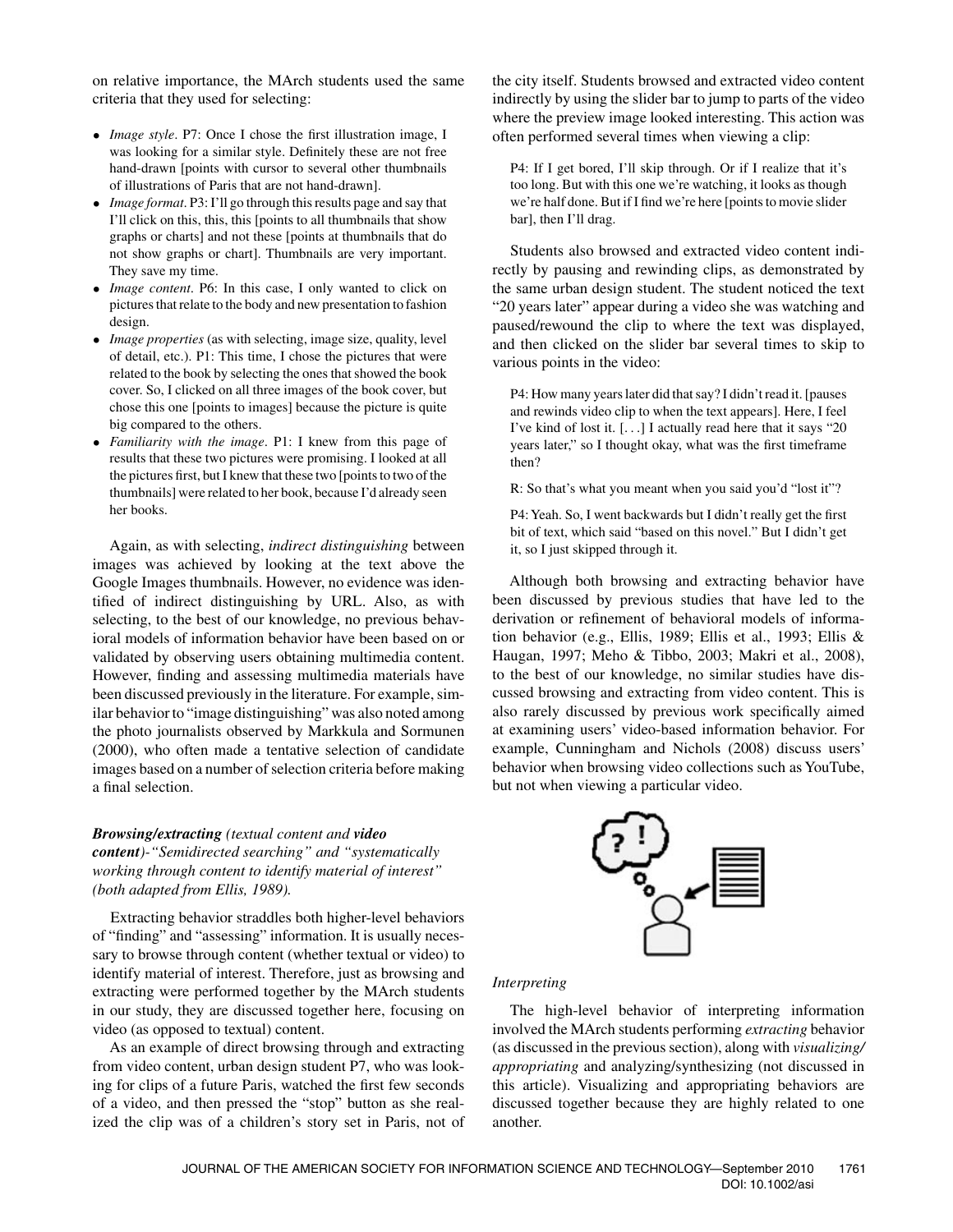on relative importance, the MArch students used the same criteria that they used for selecting:

- *Image style*. P7: Once I chose the first illustration image, I was looking for a similar style. Definitely these are not free hand-drawn [points with cursor to several other thumbnails of illustrations of Paris that are not hand-drawn].
- *Image format*. P3: I'll go through this results page and say that I'll click on this, this, this [points to all thumbnails that show graphs or charts] and not these [points at thumbnails that do not show graphs or chart]. Thumbnails are very important. They save my time.
- *Image content*. P6: In this case, I only wanted to click on pictures that relate to the body and new presentation to fashion design.
- *Image properties* (as with selecting, image size, quality, level of detail, etc.). P1: This time, I chose the pictures that were related to the book by selecting the ones that showed the book cover. So, I clicked on all three images of the book cover, but chose this one [points to images] because the picture is quite big compared to the others.
- *Familiarity with the image*. P1: I knew from this page of results that these two pictures were promising. I looked at all the pictures first, but I knew that these two [points to two of the thumbnails] were related to her book, because I'd already seen her books.

Again, as with selecting, *indirect distinguishing* between images was achieved by looking at the text above the Google Images thumbnails. However, no evidence was identified of indirect distinguishing by URL. Also, as with selecting, to the best of our knowledge, no previous behavioral models of information behavior have been based on or validated by observing users obtaining multimedia content. However, finding and assessing multimedia materials have been discussed previously in the literature. For example, similar behavior to "image distinguishing" was also noted among the photo journalists observed by Markkula and Sormunen (2000), who often made a tentative selection of candidate images based on a number of selection criteria before making a final selection.

# *Browsing/extracting (textual content and video content)-"Semidirected searching" and "systematically working through content to identify material of interest" (both adapted from Ellis, 1989).*

Extracting behavior straddles both higher-level behaviors of "finding" and "assessing" information. It is usually necessary to browse through content (whether textual or video) to identify material of interest. Therefore, just as browsing and extracting were performed together by the MArch students in our study, they are discussed together here, focusing on video (as opposed to textual) content.

As an example of direct browsing through and extracting from video content, urban design student P7, who was looking for clips of a future Paris, watched the first few seconds of a video, and then pressed the "stop" button as she realized the clip was of a children's story set in Paris, not of the city itself. Students browsed and extracted video content indirectly by using the slider bar to jump to parts of the video where the preview image looked interesting. This action was often performed several times when viewing a clip:

P4: If I get bored, I'll skip through. Or if I realize that it's too long. But with this one we're watching, it looks as though we're half done. But if I find we're here [points to movie slider bar], then I'll drag.

Students also browsed and extracted video content indirectly by pausing and rewinding clips, as demonstrated by the same urban design student. The student noticed the text "20 years later" appear during a video she was watching and paused/rewound the clip to where the text was displayed, and then clicked on the slider bar several times to skip to various points in the video:

P4: How many years later did that say? I didn't read it. [pauses and rewinds video clip to when the text appears]. Here, I feel I've kind of lost it. [...] I actually read here that it says "20 years later," so I thought okay, what was the first timeframe then?

R: So that's what you meant when you said you'd "lost it"?

P4:Yeah. So, I went backwards but I didn't really get the first bit of text, which said "based on this novel." But I didn't get it, so I just skipped through it.

Although both browsing and extracting behavior have been discussed by previous studies that have led to the derivation or refinement of behavioral models of information behavior (e.g., Ellis, 1989; Ellis et al., 1993; Ellis & Haugan, 1997; Meho & Tibbo, 2003; Makri et al., 2008), to the best of our knowledge, no similar studies have discussed browsing and extracting from video content. This is also rarely discussed by previous work specifically aimed at examining users' video-based information behavior. For example, Cunningham and Nichols (2008) discuss users' behavior when browsing video collections such as YouTube, but not when viewing a particular video.



### *Interpreting*

The high-level behavior of interpreting information involved the MArch students performing *extracting* behavior (as discussed in the previous section), along with *visualizing/ appropriating* and analyzing/synthesizing (not discussed in this article). Visualizing and appropriating behaviors are discussed together because they are highly related to one another.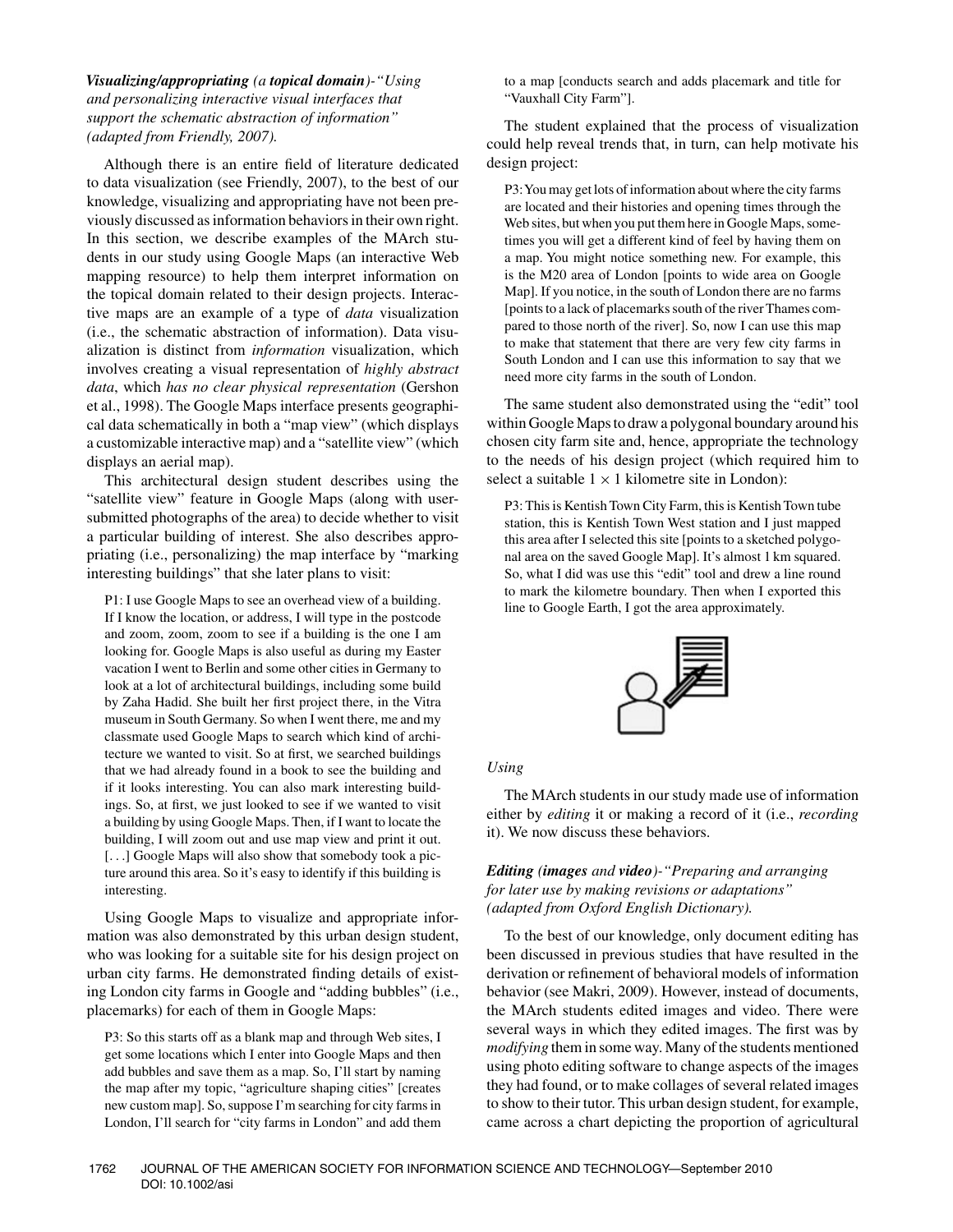*Visualizing/appropriating (a topical domain)-"Using and personalizing interactive visual interfaces that support the schematic abstraction of information" (adapted from Friendly, 2007).*

Although there is an entire field of literature dedicated to data visualization (see Friendly, 2007), to the best of our knowledge, visualizing and appropriating have not been previously discussed as information behaviors in their own right. In this section, we describe examples of the MArch students in our study using Google Maps (an interactive Web mapping resource) to help them interpret information on the topical domain related to their design projects. Interactive maps are an example of a type of *data* visualization (i.e., the schematic abstraction of information). Data visualization is distinct from *information* visualization, which involves creating a visual representation of *highly abstract data*, which *has no clear physical representation* (Gershon et al., 1998). The Google Maps interface presents geographical data schematically in both a "map view" (which displays a customizable interactive map) and a "satellite view" (which displays an aerial map).

This architectural design student describes using the "satellite view" feature in Google Maps (along with usersubmitted photographs of the area) to decide whether to visit a particular building of interest. She also describes appropriating (i.e., personalizing) the map interface by "marking interesting buildings" that she later plans to visit:

P1: I use Google Maps to see an overhead view of a building. If I know the location, or address, I will type in the postcode and zoom, zoom, zoom to see if a building is the one I am looking for. Google Maps is also useful as during my Easter vacation I went to Berlin and some other cities in Germany to look at a lot of architectural buildings, including some build by Zaha Hadid. She built her first project there, in the Vitra museum in South Germany. So when I went there, me and my classmate used Google Maps to search which kind of architecture we wanted to visit. So at first, we searched buildings that we had already found in a book to see the building and if it looks interesting. You can also mark interesting buildings. So, at first, we just looked to see if we wanted to visit a building by using Google Maps. Then, if I want to locate the building, I will zoom out and use map view and print it out. [...] Google Maps will also show that somebody took a picture around this area. So it's easy to identify if this building is interesting.

Using Google Maps to visualize and appropriate information was also demonstrated by this urban design student, who was looking for a suitable site for his design project on urban city farms. He demonstrated finding details of existing London city farms in Google and "adding bubbles" (i.e., placemarks) for each of them in Google Maps:

P3: So this starts off as a blank map and through Web sites, I get some locations which I enter into Google Maps and then add bubbles and save them as a map. So, I'll start by naming the map after my topic, "agriculture shaping cities" [creates new custom map]. So, suppose I'm searching for city farms in London, I'll search for "city farms in London" and add them to a map [conducts search and adds placemark and title for "Vauxhall City Farm"].

The student explained that the process of visualization could help reveal trends that, in turn, can help motivate his design project:

P3:You may get lots of information about where the city farms are located and their histories and opening times through the Web sites, but when you put them here in Google Maps, sometimes you will get a different kind of feel by having them on a map. You might notice something new. For example, this is the M20 area of London [points to wide area on Google Map]. If you notice, in the south of London there are no farms [points to a lack of placemarks south of the river Thames compared to those north of the river]. So, now I can use this map to make that statement that there are very few city farms in South London and I can use this information to say that we need more city farms in the south of London.

The same student also demonstrated using the "edit" tool within Google Maps to draw a polygonal boundary around his chosen city farm site and, hence, appropriate the technology to the needs of his design project (which required him to select a suitable  $1 \times 1$  kilometre site in London):

P3: This is Kentish Town City Farm, this is Kentish Town tube station, this is Kentish Town West station and I just mapped this area after I selected this site [points to a sketched polygonal area on the saved Google Map]. It's almost 1 km squared. So, what I did was use this "edit" tool and drew a line round to mark the kilometre boundary. Then when I exported this line to Google Earth, I got the area approximately.



#### *Using*

The MArch students in our study made use of information either by *editing* it or making a record of it (i.e., *recording* it). We now discuss these behaviors.

# *Editing (images and video)-"Preparing and arranging for later use by making revisions or adaptations" (adapted from Oxford English Dictionary).*

To the best of our knowledge, only document editing has been discussed in previous studies that have resulted in the derivation or refinement of behavioral models of information behavior (see Makri, 2009). However, instead of documents, the MArch students edited images and video. There were several ways in which they edited images. The first was by *modifying* them in some way. Many of the students mentioned using photo editing software to change aspects of the images they had found, or to make collages of several related images to show to their tutor. This urban design student, for example, came across a chart depicting the proportion of agricultural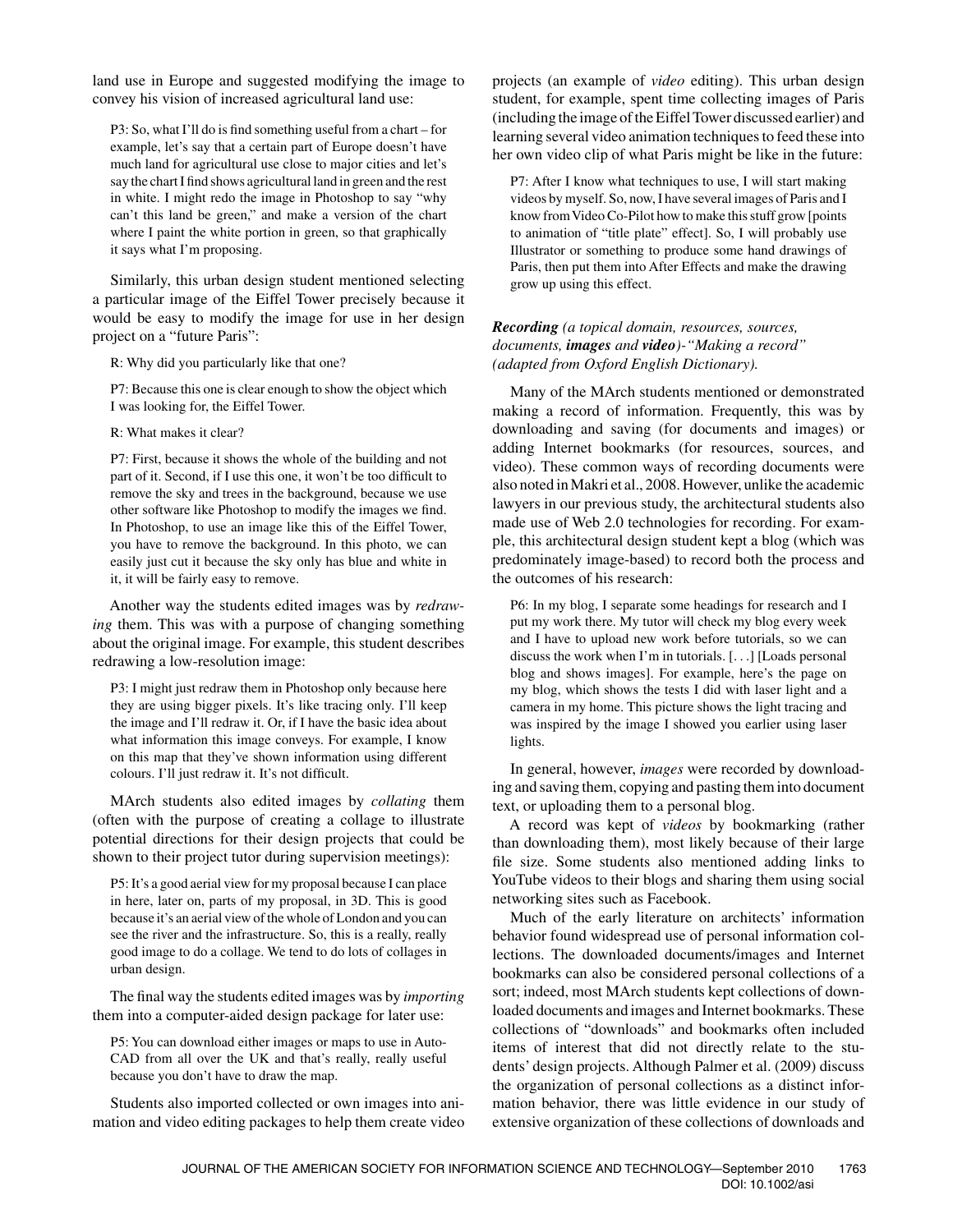land use in Europe and suggested modifying the image to convey his vision of increased agricultural land use:

P3: So, what I'll do is find something useful from a chart – for example, let's say that a certain part of Europe doesn't have much land for agricultural use close to major cities and let's say the chart I find shows agricultural land in green and the rest in white. I might redo the image in Photoshop to say "why can't this land be green," and make a version of the chart where I paint the white portion in green, so that graphically it says what I'm proposing.

Similarly, this urban design student mentioned selecting a particular image of the Eiffel Tower precisely because it would be easy to modify the image for use in her design project on a "future Paris":

R: Why did you particularly like that one?

P7: Because this one is clear enough to show the object which I was looking for, the Eiffel Tower.

R: What makes it clear?

P7: First, because it shows the whole of the building and not part of it. Second, if I use this one, it won't be too difficult to remove the sky and trees in the background, because we use other software like Photoshop to modify the images we find. In Photoshop, to use an image like this of the Eiffel Tower, you have to remove the background. In this photo, we can easily just cut it because the sky only has blue and white in it, it will be fairly easy to remove.

Another way the students edited images was by *redrawing* them. This was with a purpose of changing something about the original image. For example, this student describes redrawing a low-resolution image:

P3: I might just redraw them in Photoshop only because here they are using bigger pixels. It's like tracing only. I'll keep the image and I'll redraw it. Or, if I have the basic idea about what information this image conveys. For example, I know on this map that they've shown information using different colours. I'll just redraw it. It's not difficult.

MArch students also edited images by *collating* them (often with the purpose of creating a collage to illustrate potential directions for their design projects that could be shown to their project tutor during supervision meetings):

P5: It's a good aerial view for my proposal because I can place in here, later on, parts of my proposal, in 3D. This is good because it's an aerial view of the whole of London and you can see the river and the infrastructure. So, this is a really, really good image to do a collage. We tend to do lots of collages in urban design.

The final way the students edited images was by *importing* them into a computer-aided design package for later use:

P5: You can download either images or maps to use in Auto-CAD from all over the UK and that's really, really useful because you don't have to draw the map.

Students also imported collected or own images into animation and video editing packages to help them create video projects (an example of *video* editing). This urban design student, for example, spent time collecting images of Paris (including the image of the Eiffel Tower discussed earlier) and learning several video animation techniques to feed these into her own video clip of what Paris might be like in the future:

P7: After I know what techniques to use, I will start making videos by myself. So, now, I have several images of Paris and I know fromVideo Co-Pilot how to make this stuff grow [points to animation of "title plate" effect]. So, I will probably use Illustrator or something to produce some hand drawings of Paris, then put them into After Effects and make the drawing grow up using this effect.

# *Recording (a topical domain, resources, sources, documents, images and video)-"Making a record" (adapted from Oxford English Dictionary).*

Many of the MArch students mentioned or demonstrated making a record of information. Frequently, this was by downloading and saving (for documents and images) or adding Internet bookmarks (for resources, sources, and video). These common ways of recording documents were also noted inMakri et al., 2008. However, unlike the academic lawyers in our previous study, the architectural students also made use of Web 2.0 technologies for recording. For example, this architectural design student kept a blog (which was predominately image-based) to record both the process and the outcomes of his research:

P6: In my blog, I separate some headings for research and I put my work there. My tutor will check my blog every week and I have to upload new work before tutorials, so we can discuss the work when I'm in tutorials. [...] [Loads personal blog and shows images]. For example, here's the page on my blog, which shows the tests I did with laser light and a camera in my home. This picture shows the light tracing and was inspired by the image I showed you earlier using laser lights.

In general, however, *images* were recorded by downloading and saving them, copying and pasting them into document text, or uploading them to a personal blog.

A record was kept of *videos* by bookmarking (rather than downloading them), most likely because of their large file size. Some students also mentioned adding links to YouTube videos to their blogs and sharing them using social networking sites such as Facebook.

Much of the early literature on architects' information behavior found widespread use of personal information collections. The downloaded documents/images and Internet bookmarks can also be considered personal collections of a sort; indeed, most MArch students kept collections of downloaded documents and images and Internet bookmarks. These collections of "downloads" and bookmarks often included items of interest that did not directly relate to the students' design projects. Although Palmer et al. (2009) discuss the organization of personal collections as a distinct information behavior, there was little evidence in our study of extensive organization of these collections of downloads and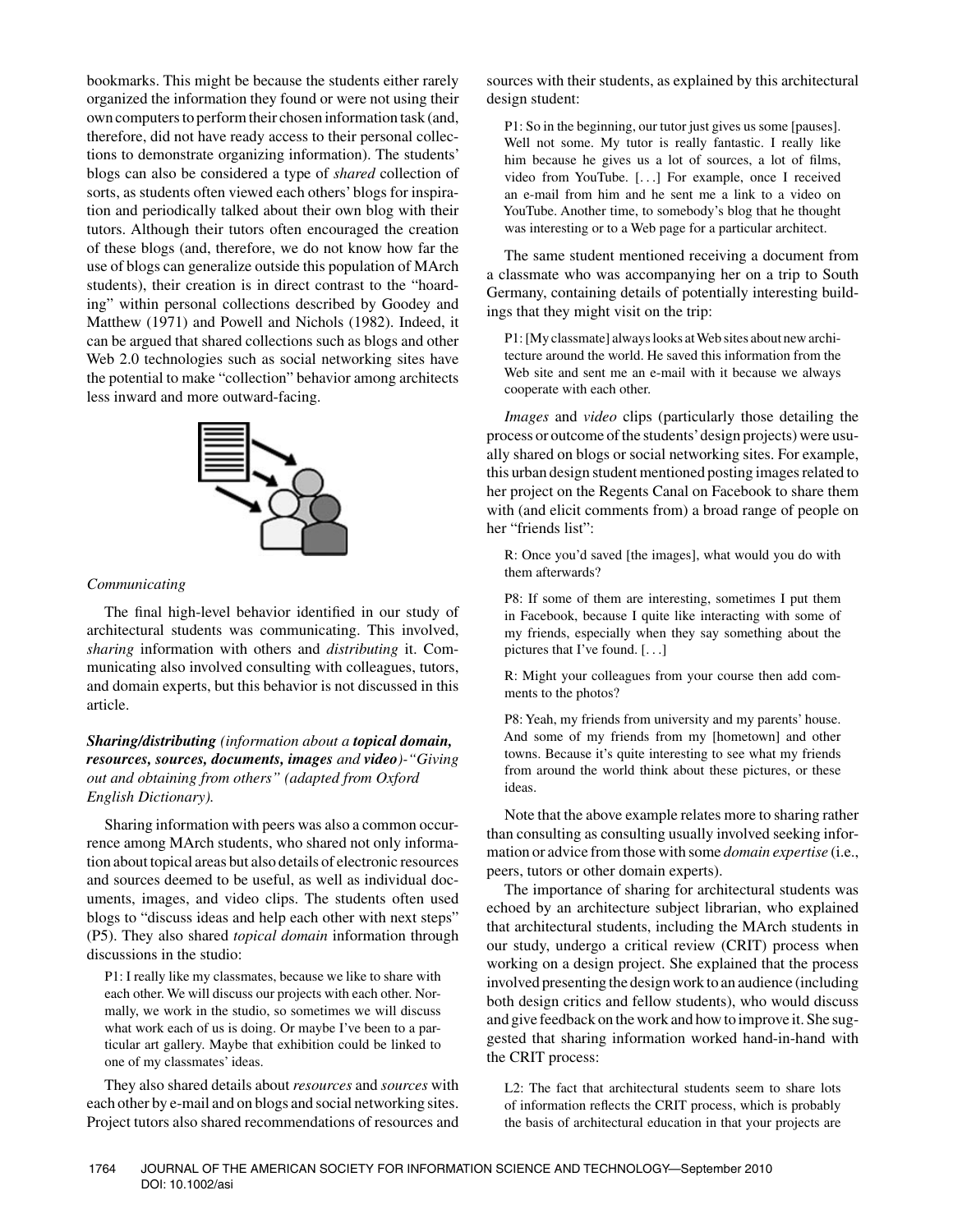bookmarks. This might be because the students either rarely organized the information they found or were not using their own computers to perform their chosen information task (and, therefore, did not have ready access to their personal collections to demonstrate organizing information). The students' blogs can also be considered a type of *shared* collection of sorts, as students often viewed each others' blogs for inspiration and periodically talked about their own blog with their tutors. Although their tutors often encouraged the creation of these blogs (and, therefore, we do not know how far the use of blogs can generalize outside this population of MArch students), their creation is in direct contrast to the "hoarding" within personal collections described by Goodey and Matthew (1971) and Powell and Nichols (1982). Indeed, it can be argued that shared collections such as blogs and other Web 2.0 technologies such as social networking sites have the potential to make "collection" behavior among architects less inward and more outward-facing.



#### *Communicating*

The final high-level behavior identified in our study of architectural students was communicating. This involved, *sharing* information with others and *distributing* it. Communicating also involved consulting with colleagues, tutors, and domain experts, but this behavior is not discussed in this article.

# *Sharing/distributing (information about a topical domain, resources, sources, documents, images and video)-"Giving out and obtaining from others" (adapted from Oxford English Dictionary).*

Sharing information with peers was also a common occurrence among MArch students, who shared not only information about topical areas but also details of electronic resources and sources deemed to be useful, as well as individual documents, images, and video clips. The students often used blogs to "discuss ideas and help each other with next steps" (P5). They also shared *topical domain* information through discussions in the studio:

P1: I really like my classmates, because we like to share with each other. We will discuss our projects with each other. Normally, we work in the studio, so sometimes we will discuss what work each of us is doing. Or maybe I've been to a particular art gallery. Maybe that exhibition could be linked to one of my classmates' ideas.

They also shared details about *resources* and *sources* with each other by e-mail and on blogs and social networking sites. Project tutors also shared recommendations of resources and sources with their students, as explained by this architectural design student:

P1: So in the beginning, our tutor just gives us some [pauses]. Well not some. My tutor is really fantastic. I really like him because he gives us a lot of sources, a lot of films, video from YouTube. [...] For example, once I received an e-mail from him and he sent me a link to a video on YouTube. Another time, to somebody's blog that he thought was interesting or to a Web page for a particular architect.

The same student mentioned receiving a document from a classmate who was accompanying her on a trip to South Germany, containing details of potentially interesting buildings that they might visit on the trip:

P1: [My classmate] always looks atWeb sites about new architecture around the world. He saved this information from the Web site and sent me an e-mail with it because we always cooperate with each other.

*Images* and *video* clips (particularly those detailing the process or outcome of the students'design projects) were usually shared on blogs or social networking sites. For example, this urban design student mentioned posting images related to her project on the Regents Canal on Facebook to share them with (and elicit comments from) a broad range of people on her "friends list":

R: Once you'd saved [the images], what would you do with them afterwards?

P8: If some of them are interesting, sometimes I put them in Facebook, because I quite like interacting with some of my friends, especially when they say something about the pictures that I've found. [...]

R: Might your colleagues from your course then add comments to the photos?

P8: Yeah, my friends from university and my parents' house. And some of my friends from my [hometown] and other towns. Because it's quite interesting to see what my friends from around the world think about these pictures, or these ideas.

Note that the above example relates more to sharing rather than consulting as consulting usually involved seeking information or advice from those with some *domain expertise* (i.e., peers, tutors or other domain experts).

The importance of sharing for architectural students was echoed by an architecture subject librarian, who explained that architectural students, including the MArch students in our study, undergo a critical review (CRIT) process when working on a design project. She explained that the process involved presenting the design work to an audience (including both design critics and fellow students), who would discuss and give feedback on the work and how to improve it. She suggested that sharing information worked hand-in-hand with the CRIT process:

L2: The fact that architectural students seem to share lots of information reflects the CRIT process, which is probably the basis of architectural education in that your projects are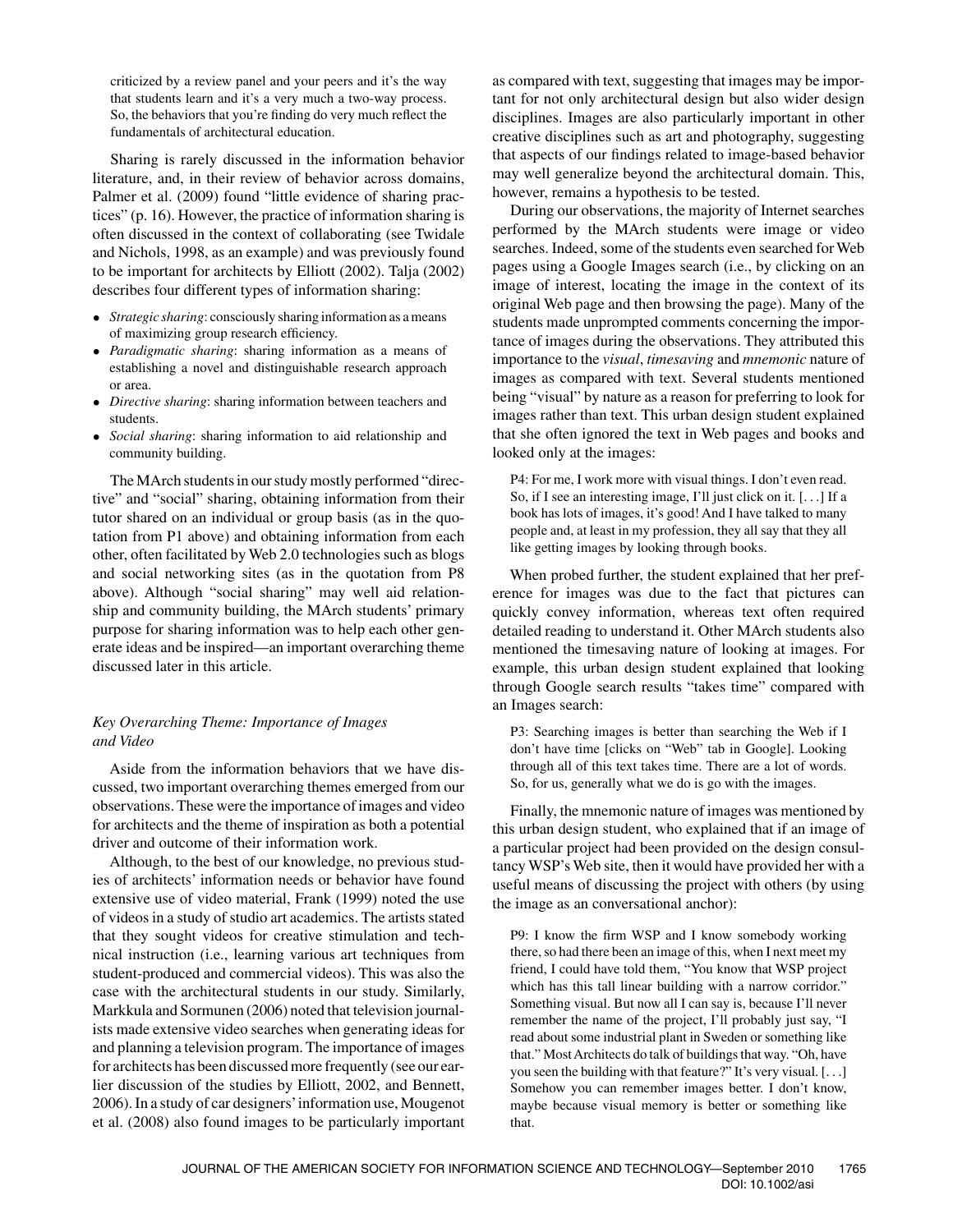criticized by a review panel and your peers and it's the way that students learn and it's a very much a two-way process. So, the behaviors that you're finding do very much reflect the fundamentals of architectural education.

Sharing is rarely discussed in the information behavior literature, and, in their review of behavior across domains, Palmer et al. (2009) found "little evidence of sharing practices" (p. 16). However, the practice of information sharing is often discussed in the context of collaborating (see Twidale and Nichols, 1998, as an example) and was previously found to be important for architects by Elliott (2002). Talja (2002) describes four different types of information sharing:

- *Strategic sharing*: consciously sharing information as a means of maximizing group research efficiency.
- *Paradigmatic sharing*: sharing information as a means of establishing a novel and distinguishable research approach or area.
- *Directive sharing*: sharing information between teachers and students.
- *Social sharing*: sharing information to aid relationship and community building.

The MArch students in our study mostly performed "directive" and "social" sharing, obtaining information from their tutor shared on an individual or group basis (as in the quotation from P1 above) and obtaining information from each other, often facilitated by Web 2.0 technologies such as blogs and social networking sites (as in the quotation from P8 above). Although "social sharing" may well aid relationship and community building, the MArch students' primary purpose for sharing information was to help each other generate ideas and be inspired—an important overarching theme discussed later in this article.

# *Key Overarching Theme: Importance of Images and Video*

Aside from the information behaviors that we have discussed, two important overarching themes emerged from our observations. These were the importance of images and video for architects and the theme of inspiration as both a potential driver and outcome of their information work.

Although, to the best of our knowledge, no previous studies of architects' information needs or behavior have found extensive use of video material, Frank (1999) noted the use of videos in a study of studio art academics. The artists stated that they sought videos for creative stimulation and technical instruction (i.e., learning various art techniques from student-produced and commercial videos). This was also the case with the architectural students in our study. Similarly, Markkula and Sormunen (2006) noted that television journalists made extensive video searches when generating ideas for and planning a television program. The importance of images for architects has been discussed more frequently (see our earlier discussion of the studies by Elliott, 2002, and Bennett, 2006). In a study of car designers'information use, Mougenot et al. (2008) also found images to be particularly important as compared with text, suggesting that images may be important for not only architectural design but also wider design disciplines. Images are also particularly important in other creative disciplines such as art and photography, suggesting that aspects of our findings related to image-based behavior may well generalize beyond the architectural domain. This, however, remains a hypothesis to be tested.

During our observations, the majority of Internet searches performed by the MArch students were image or video searches. Indeed, some of the students even searched forWeb pages using a Google Images search (i.e., by clicking on an image of interest, locating the image in the context of its original Web page and then browsing the page). Many of the students made unprompted comments concerning the importance of images during the observations. They attributed this importance to the *visual*, *timesaving* and *mnemonic* nature of images as compared with text. Several students mentioned being "visual" by nature as a reason for preferring to look for images rather than text. This urban design student explained that she often ignored the text in Web pages and books and looked only at the images:

P4: For me, I work more with visual things. I don't even read. So, if I see an interesting image, I'll just click on it. [...] If a book has lots of images, it's good! And I have talked to many people and, at least in my profession, they all say that they all like getting images by looking through books.

When probed further, the student explained that her preference for images was due to the fact that pictures can quickly convey information, whereas text often required detailed reading to understand it. Other MArch students also mentioned the timesaving nature of looking at images. For example, this urban design student explained that looking through Google search results "takes time" compared with an Images search:

P3: Searching images is better than searching the Web if I don't have time [clicks on "Web" tab in Google]. Looking through all of this text takes time. There are a lot of words. So, for us, generally what we do is go with the images.

Finally, the mnemonic nature of images was mentioned by this urban design student, who explained that if an image of a particular project had been provided on the design consultancy WSP's Web site, then it would have provided her with a useful means of discussing the project with others (by using the image as an conversational anchor):

P9: I know the firm WSP and I know somebody working there, so had there been an image of this, when I next meet my friend, I could have told them, "You know that WSP project which has this tall linear building with a narrow corridor." Something visual. But now all I can say is, because I'll never remember the name of the project, I'll probably just say, "I read about some industrial plant in Sweden or something like that." MostArchitects do talk of buildings that way. "Oh, have you seen the building with that feature?" It's very visual. [...] Somehow you can remember images better. I don't know, maybe because visual memory is better or something like that.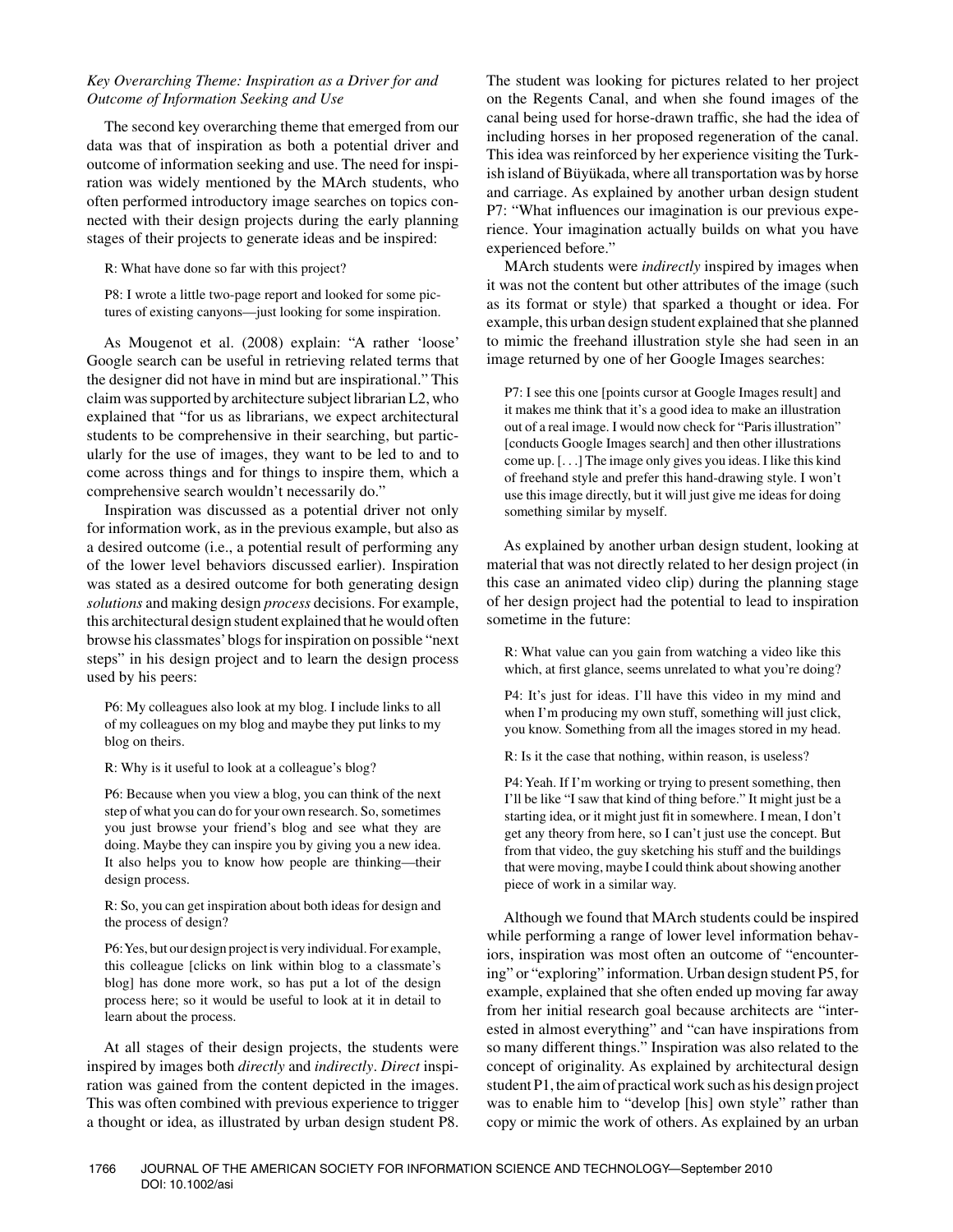#### *Key Overarching Theme: Inspiration as a Driver for and Outcome of Information Seeking and Use*

The second key overarching theme that emerged from our data was that of inspiration as both a potential driver and outcome of information seeking and use. The need for inspiration was widely mentioned by the MArch students, who often performed introductory image searches on topics connected with their design projects during the early planning stages of their projects to generate ideas and be inspired:

R: What have done so far with this project?

P8: I wrote a little two-page report and looked for some pictures of existing canyons—just looking for some inspiration.

As Mougenot et al. (2008) explain: "A rather 'loose' Google search can be useful in retrieving related terms that the designer did not have in mind but are inspirational." This claim was supported by architecture subject librarian L2, who explained that "for us as librarians, we expect architectural students to be comprehensive in their searching, but particularly for the use of images, they want to be led to and to come across things and for things to inspire them, which a comprehensive search wouldn't necessarily do."

Inspiration was discussed as a potential driver not only for information work, as in the previous example, but also as a desired outcome (i.e., a potential result of performing any of the lower level behaviors discussed earlier). Inspiration was stated as a desired outcome for both generating design *solutions* and making design *process* decisions. For example, this architectural design student explained that he would often browse his classmates' blogs for inspiration on possible "next steps" in his design project and to learn the design process used by his peers:

P6: My colleagues also look at my blog. I include links to all of my colleagues on my blog and maybe they put links to my blog on theirs.

R: Why is it useful to look at a colleague's blog?

P6: Because when you view a blog, you can think of the next step of what you can do for your own research. So, sometimes you just browse your friend's blog and see what they are doing. Maybe they can inspire you by giving you a new idea. It also helps you to know how people are thinking—their design process.

R: So, you can get inspiration about both ideas for design and the process of design?

P6:Yes, but our design project is very individual. For example, this colleague [clicks on link within blog to a classmate's blog] has done more work, so has put a lot of the design process here; so it would be useful to look at it in detail to learn about the process.

At all stages of their design projects, the students were inspired by images both *directly* and *indirectly*. *Direct* inspiration was gained from the content depicted in the images. This was often combined with previous experience to trigger a thought or idea, as illustrated by urban design student P8.

The student was looking for pictures related to her project on the Regents Canal, and when she found images of the canal being used for horse-drawn traffic, she had the idea of including horses in her proposed regeneration of the canal. This idea was reinforced by her experience visiting the Turkish island of Büyükada, where all transportation was by horse and carriage. As explained by another urban design student P7: "What influences our imagination is our previous experience. Your imagination actually builds on what you have experienced before."

MArch students were *indirectly* inspired by images when it was not the content but other attributes of the image (such as its format or style) that sparked a thought or idea. For example, this urban design student explained that she planned to mimic the freehand illustration style she had seen in an image returned by one of her Google Images searches:

P7: I see this one [points cursor at Google Images result] and it makes me think that it's a good idea to make an illustration out of a real image. I would now check for "Paris illustration" [conducts Google Images search] and then other illustrations come up. [...] The image only gives you ideas. I like this kind of freehand style and prefer this hand-drawing style. I won't use this image directly, but it will just give me ideas for doing something similar by myself.

As explained by another urban design student, looking at material that was not directly related to her design project (in this case an animated video clip) during the planning stage of her design project had the potential to lead to inspiration sometime in the future:

R: What value can you gain from watching a video like this which, at first glance, seems unrelated to what you're doing?

P4: It's just for ideas. I'll have this video in my mind and when I'm producing my own stuff, something will just click, you know. Something from all the images stored in my head.

R: Is it the case that nothing, within reason, is useless?

P4: Yeah. If I'm working or trying to present something, then I'll be like "I saw that kind of thing before." It might just be a starting idea, or it might just fit in somewhere. I mean, I don't get any theory from here, so I can't just use the concept. But from that video, the guy sketching his stuff and the buildings that were moving, maybe I could think about showing another piece of work in a similar way.

Although we found that MArch students could be inspired while performing a range of lower level information behaviors, inspiration was most often an outcome of "encountering" or "exploring" information. Urban design student P5, for example, explained that she often ended up moving far away from her initial research goal because architects are "interested in almost everything" and "can have inspirations from so many different things." Inspiration was also related to the concept of originality. As explained by architectural design student P1, the aim of practical work such as his design project was to enable him to "develop [his] own style" rather than copy or mimic the work of others. As explained by an urban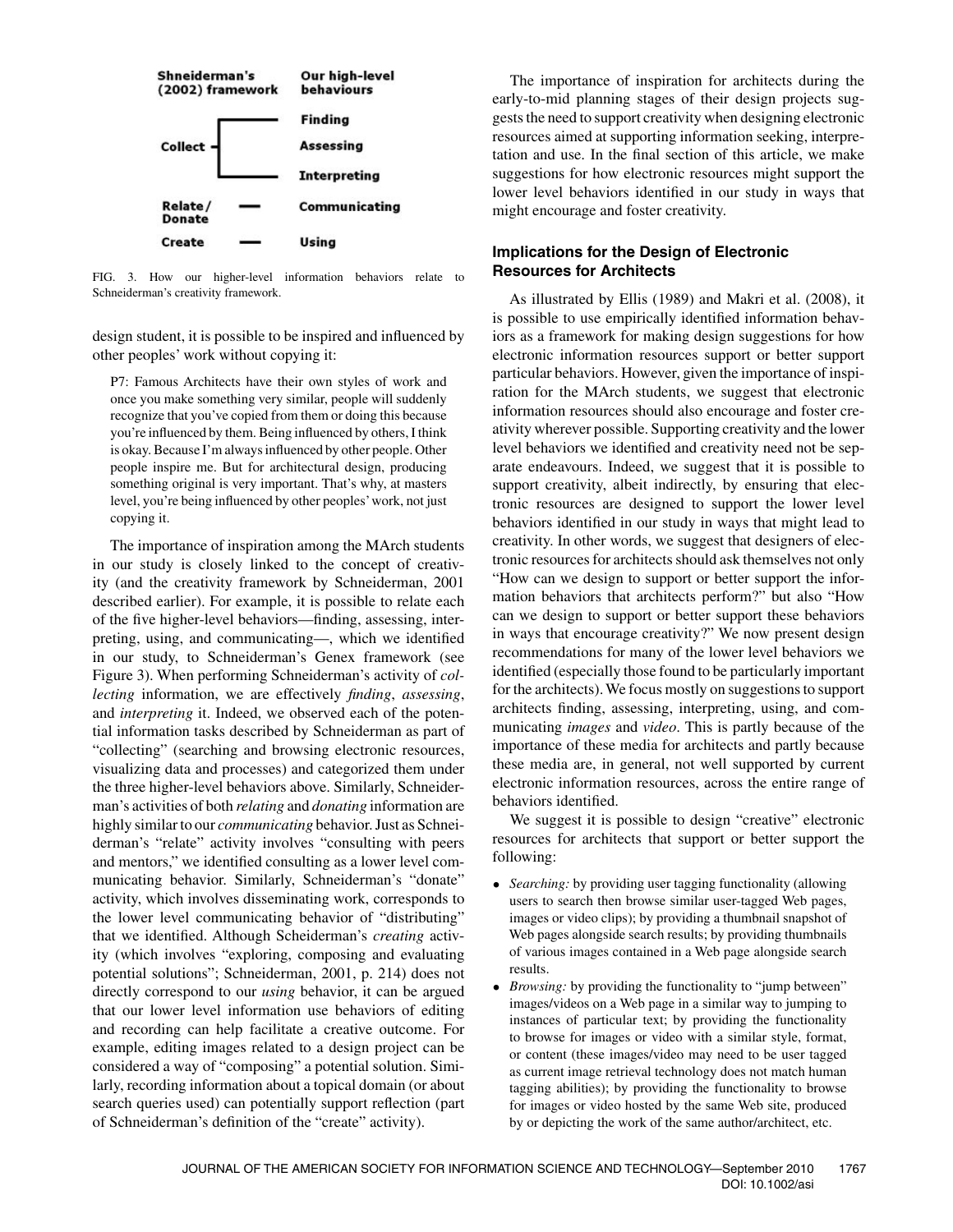

FIG. 3. How our higher-level information behaviors relate to Schneiderman's creativity framework.

design student, it is possible to be inspired and influenced by other peoples' work without copying it:

P7: Famous Architects have their own styles of work and once you make something very similar, people will suddenly recognize that you've copied from them or doing this because you're influenced by them. Being influenced by others, I think is okay. Because I'm always influenced by other people. Other people inspire me. But for architectural design, producing something original is very important. That's why, at masters level, you're being influenced by other peoples'work, not just copying it.

The importance of inspiration among the MArch students in our study is closely linked to the concept of creativity (and the creativity framework by Schneiderman, 2001 described earlier). For example, it is possible to relate each of the five higher-level behaviors—finding, assessing, interpreting, using, and communicating—, which we identified in our study, to Schneiderman's Genex framework (see Figure 3). When performing Schneiderman's activity of *collecting* information, we are effectively *finding*, *assessing*, and *interpreting* it. Indeed, we observed each of the potential information tasks described by Schneiderman as part of "collecting" (searching and browsing electronic resources, visualizing data and processes) and categorized them under the three higher-level behaviors above. Similarly, Schneiderman's activities of both *relating* and *donating* information are highly similar to our *communicating* behavior. Just as Schneiderman's "relate" activity involves "consulting with peers and mentors," we identified consulting as a lower level communicating behavior. Similarly, Schneiderman's "donate" activity, which involves disseminating work, corresponds to the lower level communicating behavior of "distributing" that we identified. Although Scheiderman's *creating* activity (which involves "exploring, composing and evaluating potential solutions"; Schneiderman, 2001, p. 214) does not directly correspond to our *using* behavior, it can be argued that our lower level information use behaviors of editing and recording can help facilitate a creative outcome. For example, editing images related to a design project can be considered a way of "composing" a potential solution. Similarly, recording information about a topical domain (or about search queries used) can potentially support reflection (part of Schneiderman's definition of the "create" activity).

The importance of inspiration for architects during the early-to-mid planning stages of their design projects suggests the need to support creativity when designing electronic resources aimed at supporting information seeking, interpretation and use. In the final section of this article, we make suggestions for how electronic resources might support the lower level behaviors identified in our study in ways that might encourage and foster creativity.

# **Implications for the Design of Electronic Resources for Architects**

As illustrated by Ellis (1989) and Makri et al. (2008), it is possible to use empirically identified information behaviors as a framework for making design suggestions for how electronic information resources support or better support particular behaviors. However, given the importance of inspiration for the MArch students, we suggest that electronic information resources should also encourage and foster creativity wherever possible. Supporting creativity and the lower level behaviors we identified and creativity need not be separate endeavours. Indeed, we suggest that it is possible to support creativity, albeit indirectly, by ensuring that electronic resources are designed to support the lower level behaviors identified in our study in ways that might lead to creativity. In other words, we suggest that designers of electronic resources for architects should ask themselves not only "How can we design to support or better support the information behaviors that architects perform?" but also "How can we design to support or better support these behaviors in ways that encourage creativity?" We now present design recommendations for many of the lower level behaviors we identified (especially those found to be particularly important for the architects).We focus mostly on suggestions to support architects finding, assessing, interpreting, using, and communicating *images* and *video*. This is partly because of the importance of these media for architects and partly because these media are, in general, not well supported by current electronic information resources, across the entire range of behaviors identified.

We suggest it is possible to design "creative" electronic resources for architects that support or better support the following:

- *Searching:* by providing user tagging functionality (allowing users to search then browse similar user-tagged Web pages, images or video clips); by providing a thumbnail snapshot of Web pages alongside search results; by providing thumbnails of various images contained in a Web page alongside search results.
- *Browsing:* by providing the functionality to "jump between" images/videos on a Web page in a similar way to jumping to instances of particular text; by providing the functionality to browse for images or video with a similar style, format, or content (these images/video may need to be user tagged as current image retrieval technology does not match human tagging abilities); by providing the functionality to browse for images or video hosted by the same Web site, produced by or depicting the work of the same author/architect, etc.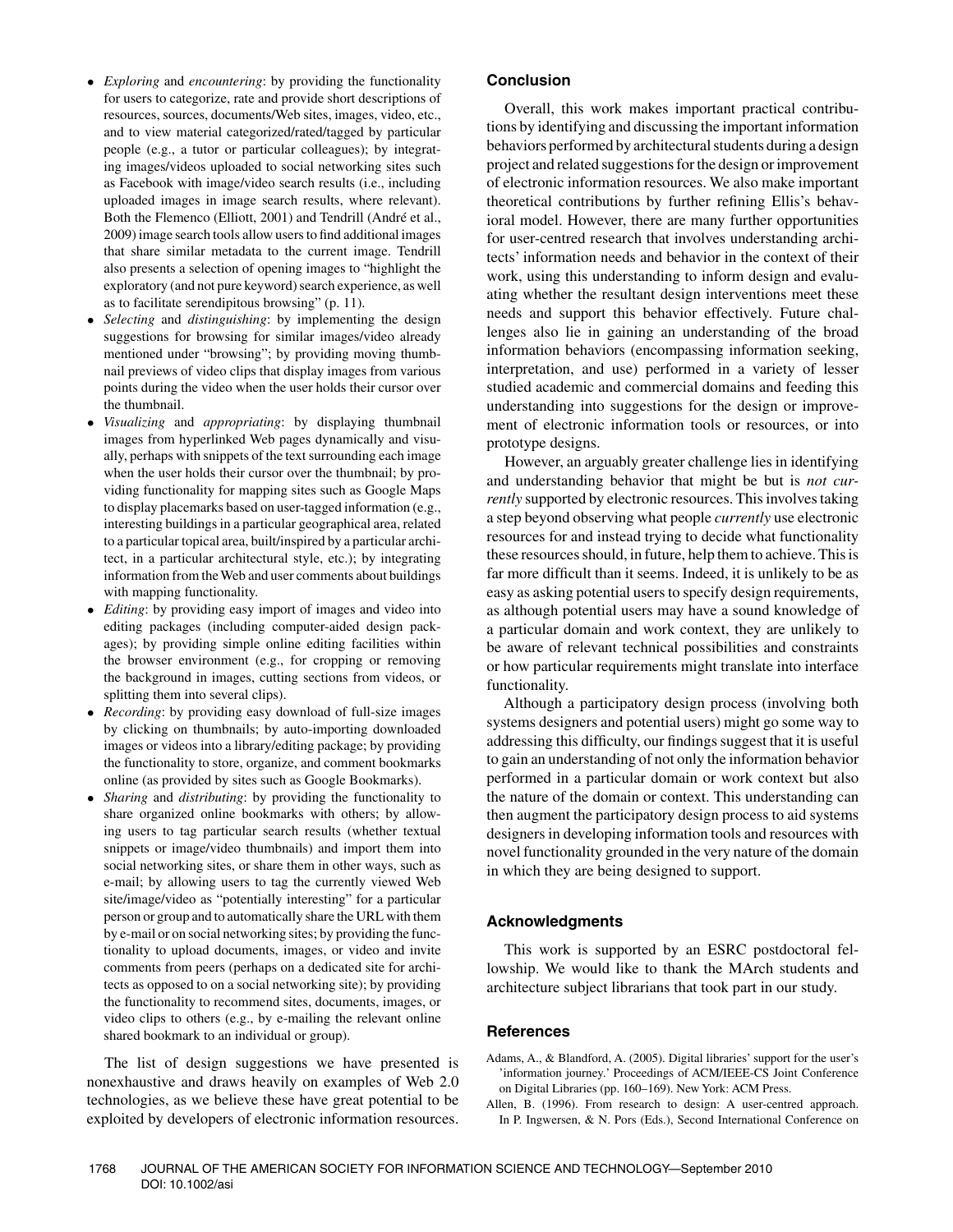- *Exploring* and *encountering*: by providing the functionality for users to categorize, rate and provide short descriptions of resources, sources, documents/Web sites, images, video, etc., and to view material categorized/rated/tagged by particular people (e.g., a tutor or particular colleagues); by integrating images/videos uploaded to social networking sites such as Facebook with image/video search results (i.e., including uploaded images in image search results, where relevant). Both the Flemenco (Elliott, 2001) and Tendrill (André et al., 2009) image search tools allow users to find additional images that share similar metadata to the current image. Tendrill also presents a selection of opening images to "highlight the exploratory (and not pure keyword) search experience, as well as to facilitate serendipitous browsing" (p. 11).
- *Selecting* and *distinguishing*: by implementing the design suggestions for browsing for similar images/video already mentioned under "browsing"; by providing moving thumbnail previews of video clips that display images from various points during the video when the user holds their cursor over the thumbnail.
- *Visualizing* and *appropriating*: by displaying thumbnail images from hyperlinked Web pages dynamically and visually, perhaps with snippets of the text surrounding each image when the user holds their cursor over the thumbnail; by providing functionality for mapping sites such as Google Maps to display placemarks based on user-tagged information (e.g., interesting buildings in a particular geographical area, related to a particular topical area, built/inspired by a particular architect, in a particular architectural style, etc.); by integrating information from theWeb and user comments about buildings with mapping functionality.
- *Editing*: by providing easy import of images and video into editing packages (including computer-aided design packages); by providing simple online editing facilities within the browser environment (e.g., for cropping or removing the background in images, cutting sections from videos, or splitting them into several clips).
- *Recording*: by providing easy download of full-size images by clicking on thumbnails; by auto-importing downloaded images or videos into a library/editing package; by providing the functionality to store, organize, and comment bookmarks online (as provided by sites such as Google Bookmarks).
- *Sharing* and *distributing*: by providing the functionality to share organized online bookmarks with others; by allowing users to tag particular search results (whether textual snippets or image/video thumbnails) and import them into social networking sites, or share them in other ways, such as e-mail; by allowing users to tag the currently viewed Web site/image/video as "potentially interesting" for a particular person or group and to automatically share the URL with them by e-mail or on social networking sites; by providing the functionality to upload documents, images, or video and invite comments from peers (perhaps on a dedicated site for architects as opposed to on a social networking site); by providing the functionality to recommend sites, documents, images, or video clips to others (e.g., by e-mailing the relevant online shared bookmark to an individual or group).

The list of design suggestions we have presented is nonexhaustive and draws heavily on examples of Web 2.0 technologies, as we believe these have great potential to be exploited by developers of electronic information resources.

## **Conclusion**

Overall, this work makes important practical contributions by identifying and discussing the important information behaviors performed by architectural students during a design project and related suggestions for the design or improvement of electronic information resources. We also make important theoretical contributions by further refining Ellis's behavioral model. However, there are many further opportunities for user-centred research that involves understanding architects' information needs and behavior in the context of their work, using this understanding to inform design and evaluating whether the resultant design interventions meet these needs and support this behavior effectively. Future challenges also lie in gaining an understanding of the broad information behaviors (encompassing information seeking, interpretation, and use) performed in a variety of lesser studied academic and commercial domains and feeding this understanding into suggestions for the design or improvement of electronic information tools or resources, or into prototype designs.

However, an arguably greater challenge lies in identifying and understanding behavior that might be but is *not currently* supported by electronic resources. This involves taking a step beyond observing what people *currently* use electronic resources for and instead trying to decide what functionality these resources should, in future, help them to achieve. This is far more difficult than it seems. Indeed, it is unlikely to be as easy as asking potential users to specify design requirements, as although potential users may have a sound knowledge of a particular domain and work context, they are unlikely to be aware of relevant technical possibilities and constraints or how particular requirements might translate into interface functionality.

Although a participatory design process (involving both systems designers and potential users) might go some way to addressing this difficulty, our findings suggest that it is useful to gain an understanding of not only the information behavior performed in a particular domain or work context but also the nature of the domain or context. This understanding can then augment the participatory design process to aid systems designers in developing information tools and resources with novel functionality grounded in the very nature of the domain in which they are being designed to support.

## **Acknowledgments**

This work is supported by an ESRC postdoctoral fellowship. We would like to thank the MArch students and architecture subject librarians that took part in our study.

#### **References**

Adams, A., & Blandford, A. (2005). Digital libraries' support for the user's 'information journey.' Proceedings of ACM/IEEE-CS Joint Conference on Digital Libraries (pp. 160–169). New York: ACM Press.

Allen, B. (1996). From research to design: A user-centred approach. In P. Ingwersen, & N. Pors (Eds.), Second International Conference on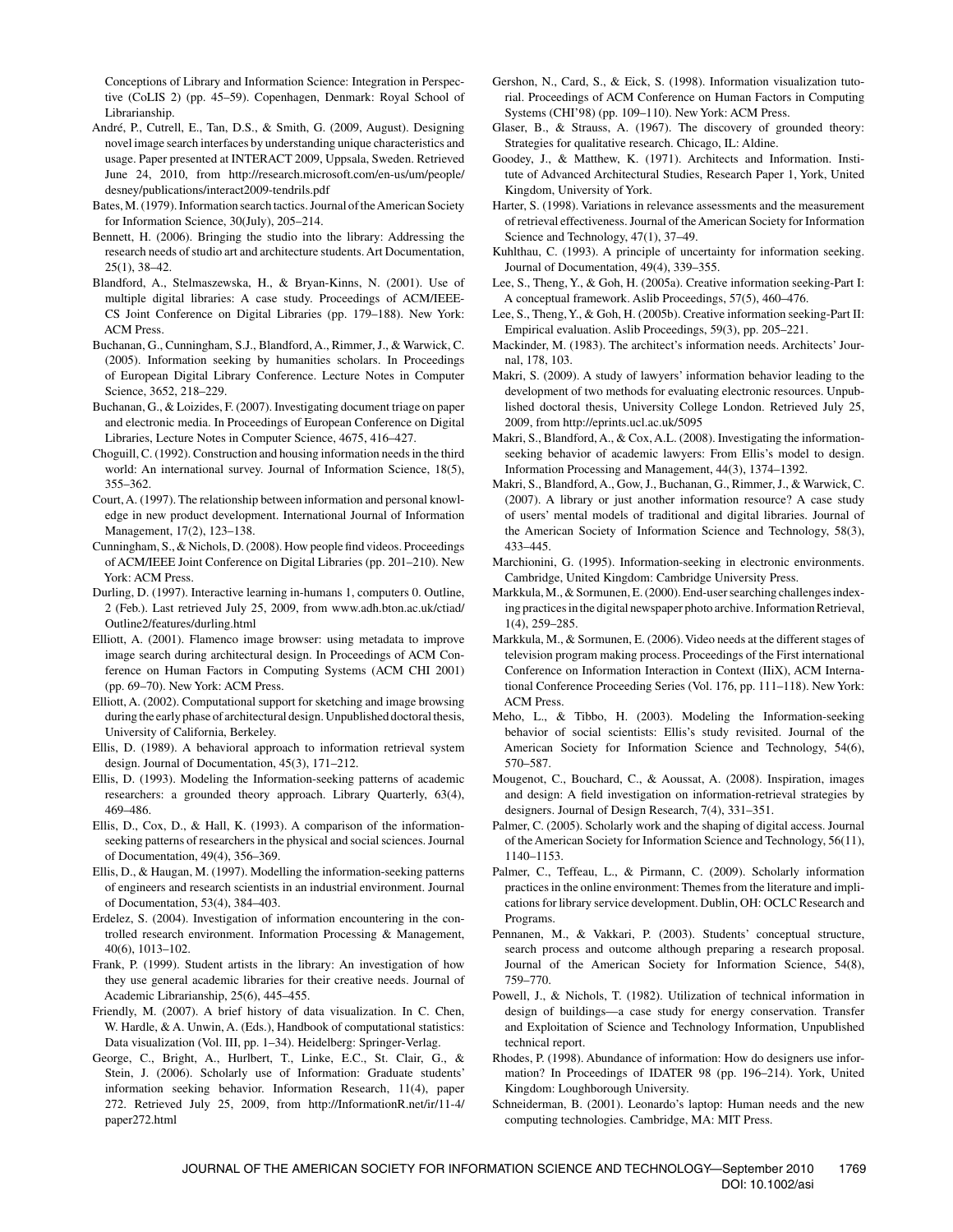Conceptions of Library and Information Science: Integration in Perspective (CoLIS 2) (pp. 45–59). Copenhagen, Denmark: Royal School of Librarianship.

- André, P., Cutrell, E., Tan, D.S., & Smith, G. (2009, August). Designing novel image search interfaces by understanding unique characteristics and usage. Paper presented at INTERACT 2009, Uppsala, Sweden. Retrieved June 24, 2010, from http://research.microsoft.com/en-us/um/people/ desney/publications/interact2009-tendrils.pdf
- Bates,M. (1979). Information search tactics. Journal of theAmerican Society for Information Science, 30(July), 205–214.
- Bennett, H. (2006). Bringing the studio into the library: Addressing the research needs of studio art and architecture students. Art Documentation, 25(1), 38–42.
- Blandford, A., Stelmaszewska, H., & Bryan-Kinns, N. (2001). Use of multiple digital libraries: A case study. Proceedings of ACM/IEEE-CS Joint Conference on Digital Libraries (pp. 179–188). New York: ACM Press.
- Buchanan, G., Cunningham, S.J., Blandford, A., Rimmer, J., & Warwick, C. (2005). Information seeking by humanities scholars. In Proceedings of European Digital Library Conference. Lecture Notes in Computer Science, 3652, 218–229.
- Buchanan, G., & Loizides, F. (2007). Investigating document triage on paper and electronic media. In Proceedings of European Conference on Digital Libraries, Lecture Notes in Computer Science, 4675, 416–427.
- Choguill, C. (1992). Construction and housing information needs in the third world: An international survey. Journal of Information Science, 18(5), 355–362.
- Court, A. (1997). The relationship between information and personal knowledge in new product development. International Journal of Information Management, 17(2), 123–138.
- Cunningham, S., & Nichols, D. (2008). How people find videos. Proceedings of ACM/IEEE Joint Conference on Digital Libraries (pp. 201–210). New York: ACM Press.
- Durling, D. (1997). Interactive learning in-humans 1, computers 0. Outline, 2 (Feb.). Last retrieved July 25, 2009, from www.adh.bton.ac.uk/ctiad/ Outline2/features/durling.html
- Elliott, A. (2001). Flamenco image browser: using metadata to improve image search during architectural design. In Proceedings of ACM Conference on Human Factors in Computing Systems (ACM CHI 2001) (pp. 69–70). New York: ACM Press.
- Elliott, A. (2002). Computational support for sketching and image browsing during the early phase of architectural design. Unpublished doctoral thesis, University of California, Berkeley.
- Ellis, D. (1989). A behavioral approach to information retrieval system design. Journal of Documentation, 45(3), 171–212.
- Ellis, D. (1993). Modeling the Information-seeking patterns of academic researchers: a grounded theory approach. Library Quarterly, 63(4), 469–486.
- Ellis, D., Cox, D., & Hall, K. (1993). A comparison of the informationseeking patterns of researchers in the physical and social sciences. Journal of Documentation, 49(4), 356–369.
- Ellis, D., & Haugan, M. (1997). Modelling the information-seeking patterns of engineers and research scientists in an industrial environment. Journal of Documentation, 53(4), 384–403.
- Erdelez, S. (2004). Investigation of information encountering in the controlled research environment. Information Processing & Management, 40(6), 1013–102.
- Frank, P. (1999). Student artists in the library: An investigation of how they use general academic libraries for their creative needs. Journal of Academic Librarianship, 25(6), 445–455.
- Friendly, M. (2007). A brief history of data visualization. In C. Chen, W. Hardle, & A. Unwin, A. (Eds.), Handbook of computational statistics: Data visualization (Vol. III, pp. 1–34). Heidelberg: Springer-Verlag.
- George, C., Bright, A., Hurlbert, T., Linke, E.C., St. Clair, G., & Stein, J. (2006). Scholarly use of Information: Graduate students' information seeking behavior. Information Research, 11(4), paper 272. Retrieved July 25, 2009, from http://InformationR.net/ir/11-4/ paper272.html
- Gershon, N., Card, S., & Eick, S. (1998). Information visualization tutorial. Proceedings of ACM Conference on Human Factors in Computing Systems (CHI'98) (pp. 109–110). New York: ACM Press.
- Glaser, B., & Strauss, A. (1967). The discovery of grounded theory: Strategies for qualitative research. Chicago, IL: Aldine.
- Goodey, J., & Matthew, K. (1971). Architects and Information. Institute of Advanced Architectural Studies, Research Paper 1, York, United Kingdom, University of York.
- Harter, S. (1998). Variations in relevance assessments and the measurement of retrieval effectiveness. Journal of the American Society for Information Science and Technology,  $47(1)$ ,  $37-49$ .
- Kuhlthau, C. (1993). A principle of uncertainty for information seeking. Journal of Documentation, 49(4), 339–355.
- Lee, S., Theng, Y., & Goh, H. (2005a). Creative information seeking-Part I: A conceptual framework. Aslib Proceedings, 57(5), 460–476.
- Lee, S., Theng,Y., & Goh, H. (2005b). Creative information seeking-Part II: Empirical evaluation. Aslib Proceedings, 59(3), pp. 205–221.
- Mackinder, M. (1983). The architect's information needs. Architects' Journal, 178, 103.
- Makri, S. (2009). A study of lawyers' information behavior leading to the development of two methods for evaluating electronic resources. Unpublished doctoral thesis, University College London. Retrieved July 25, 2009, from http://eprints.ucl.ac.uk/5095
- Makri, S., Blandford, A., & Cox, A.L. (2008). Investigating the informationseeking behavior of academic lawyers: From Ellis's model to design. Information Processing and Management, 44(3), 1374–1392.
- Makri, S., Blandford, A., Gow, J., Buchanan, G., Rimmer, J., & Warwick, C. (2007). A library or just another information resource? A case study of users' mental models of traditional and digital libraries. Journal of the American Society of Information Science and Technology, 58(3), 433–445.
- Marchionini, G. (1995). Information-seeking in electronic environments. Cambridge, United Kingdom: Cambridge University Press.
- Markkula, M., & Sormunen, E. (2000). End-user searching challenges indexing practices in the digital newspaper photo archive. Information Retrieval, 1(4), 259–285.
- Markkula, M., & Sormunen, E. (2006). Video needs at the different stages of television program making process. Proceedings of the First international Conference on Information Interaction in Context (IIiX), ACM International Conference Proceeding Series (Vol. 176, pp. 111–118). New York: ACM Press.
- Meho, L., & Tibbo, H. (2003). Modeling the Information-seeking behavior of social scientists: Ellis's study revisited. Journal of the American Society for Information Science and Technology, 54(6), 570–587.
- Mougenot, C., Bouchard, C., & Aoussat, A. (2008). Inspiration, images and design: A field investigation on information-retrieval strategies by designers. Journal of Design Research, 7(4), 331–351.
- Palmer, C. (2005). Scholarly work and the shaping of digital access. Journal of the American Society for Information Science and Technology, 56(11), 1140–1153.
- Palmer, C., Teffeau, L., & Pirmann, C. (2009). Scholarly information practices in the online environment: Themes from the literature and implications for library service development. Dublin, OH: OCLC Research and Programs.
- Pennanen, M., & Vakkari, P. (2003). Students' conceptual structure, search process and outcome although preparing a research proposal. Journal of the American Society for Information Science, 54(8), 759–770.
- Powell, J., & Nichols, T. (1982). Utilization of technical information in design of buildings—a case study for energy conservation. Transfer and Exploitation of Science and Technology Information, Unpublished technical report.
- Rhodes, P. (1998). Abundance of information: How do designers use information? In Proceedings of IDATER 98 (pp. 196–214). York, United Kingdom: Loughborough University.
- Schneiderman, B. (2001). Leonardo's laptop: Human needs and the new computing technologies. Cambridge, MA: MIT Press.